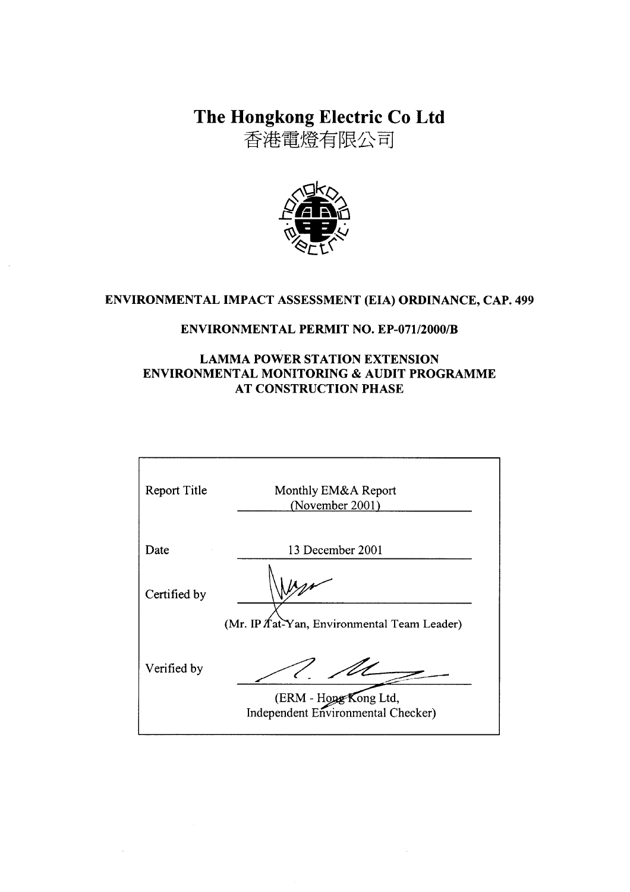The Hongkong Electric Co Ltd

香港電燈有限公司



# ENVIRONMENTAL IMPACT ASSESSMENT (EIA) ORDINANCE, CAP. 499

### **ENVIRONMENTAL PERMIT NO. EP-071/2000/B**

### **LAMMA POWER STATION EXTENSION** ENVIRONMENTAL MONITORING & AUDIT PROGRAMME **AT CONSTRUCTION PHASE**

| Monthly EM&A Report<br>(November 2001)                      |
|-------------------------------------------------------------|
| 13 December 2001                                            |
|                                                             |
| (Mr. IP / at-Yan, Environmental Team Leader)                |
| (ERM - Hong Kong Ltd,<br>Independent Environmental Checker) |
|                                                             |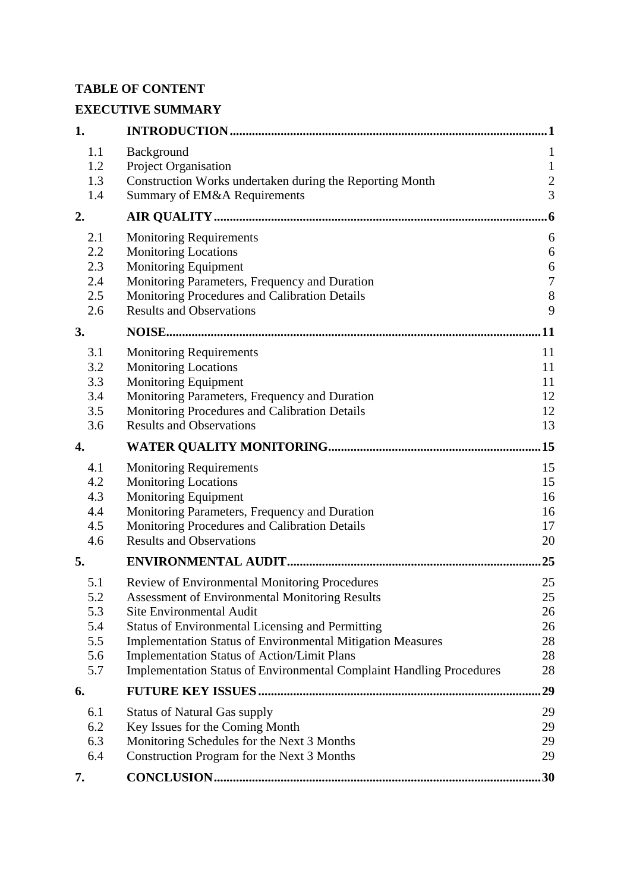## **TABLE OF CONTENT**

# **EXECUTIVE SUMMARY**

| 1.         |                                                                                                                         | 1              |
|------------|-------------------------------------------------------------------------------------------------------------------------|----------------|
| 1.1        | Background                                                                                                              | $\mathbf{1}$   |
| 1.2        | Project Organisation                                                                                                    | $\mathbf{1}$   |
| 1.3        | Construction Works undertaken during the Reporting Month                                                                | $\overline{c}$ |
| 1.4        | Summary of EM&A Requirements                                                                                            | $\overline{3}$ |
| 2.         |                                                                                                                         | 6              |
| 2.1        | <b>Monitoring Requirements</b>                                                                                          | 6              |
| 2.2        | <b>Monitoring Locations</b>                                                                                             | 6              |
| 2.3        | Monitoring Equipment                                                                                                    | 6              |
| 2.4        | Monitoring Parameters, Frequency and Duration                                                                           | $\overline{7}$ |
| 2.5        | Monitoring Procedures and Calibration Details                                                                           | 8              |
| 2.6        | <b>Results and Observations</b>                                                                                         | 9              |
| 3.         |                                                                                                                         | <b>11</b>      |
| 3.1        | <b>Monitoring Requirements</b>                                                                                          | 11             |
| 3.2        | <b>Monitoring Locations</b>                                                                                             | 11             |
| 3.3        | Monitoring Equipment                                                                                                    | 11             |
| 3.4        | Monitoring Parameters, Frequency and Duration                                                                           | 12             |
| 3.5        | Monitoring Procedures and Calibration Details                                                                           | 12             |
| 3.6        | <b>Results and Observations</b>                                                                                         | 13             |
| 4.         |                                                                                                                         | .15            |
| 4.1        | <b>Monitoring Requirements</b>                                                                                          | 15             |
| 4.2        | <b>Monitoring Locations</b>                                                                                             | 15             |
| 4.3        | <b>Monitoring Equipment</b>                                                                                             | 16             |
| 4.4        | Monitoring Parameters, Frequency and Duration                                                                           | 16             |
| 4.5        | Monitoring Procedures and Calibration Details                                                                           | 17             |
| 4.6        | <b>Results and Observations</b>                                                                                         | 20             |
| 5.         |                                                                                                                         | 25             |
| 5.1        | Review of Environmental Monitoring Procedures                                                                           | 25             |
| 5.2        | <b>Assessment of Environmental Monitoring Results</b>                                                                   | 25             |
| 5.3        | <b>Site Environmental Audit</b>                                                                                         | 26             |
| 5.4        | <b>Status of Environmental Licensing and Permitting</b>                                                                 | 26             |
| 5.5<br>5.6 | <b>Implementation Status of Environmental Mitigation Measures</b><br><b>Implementation Status of Action/Limit Plans</b> | 28<br>28       |
| 5.7        | <b>Implementation Status of Environmental Complaint Handling Procedures</b>                                             | 28             |
| 6.         |                                                                                                                         | 29             |
| 6.1        |                                                                                                                         |                |
| 6.2        | <b>Status of Natural Gas supply</b><br>Key Issues for the Coming Month                                                  | 29<br>29       |
| 6.3        | Monitoring Schedules for the Next 3 Months                                                                              | 29             |
| 6.4        | Construction Program for the Next 3 Months                                                                              | 29             |
| 7.         |                                                                                                                         | .30            |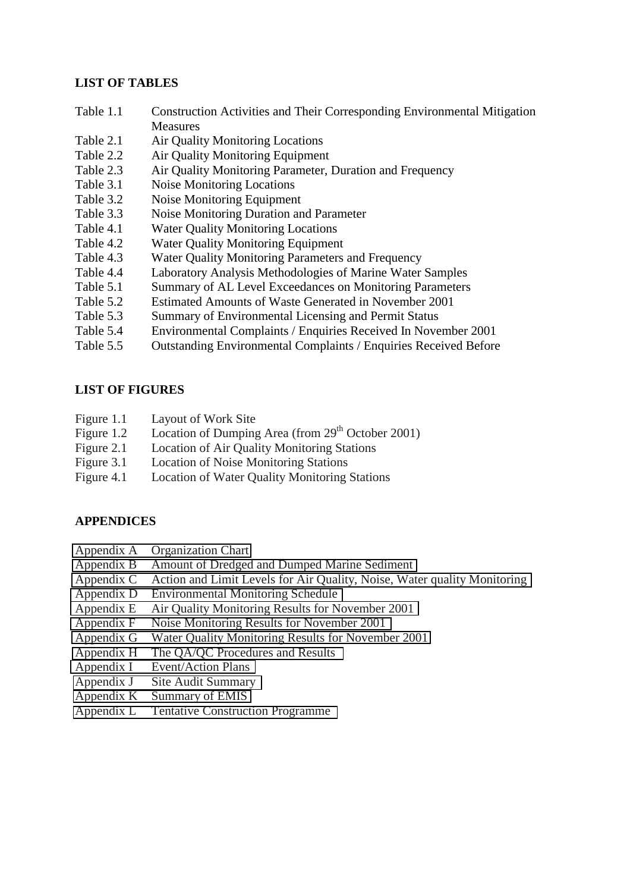### **LIST OF TABLES**

- Table 1.1 Construction Activities and Their Corresponding Environmental Mitigation **Measures**
- Table 2.1 Air Quality Monitoring Locations
- Table 2.2 Air Quality Monitoring Equipment
- Table 2.3 Air Quality Monitoring Parameter, Duration and Frequency
- Table 3.1 Noise Monitoring Locations
- Table 3.2 Noise Monitoring Equipment
- Table 3.3 Noise Monitoring Duration and Parameter
- Table 4.1 Water Quality Monitoring Locations
- Table 4.2 Water Quality Monitoring Equipment
- Table 4.3 Water Quality Monitoring Parameters and Frequency
- Table 4.4 Laboratory Analysis Methodologies of Marine Water Samples
- Table 5.1 Summary of AL Level Exceedances on Monitoring Parameters
- Table 5.2 Estimated Amounts of Waste Generated in November 2001
- Table 5.3 Summary of Environmental Licensing and Permit Status
- Table 5.4 Environmental Complaints / Enquiries Received In November 2001
- Table 5.5 Outstanding Environmental Complaints / Enquiries Received Before

### **LIST OF FIGURES**

- Figure 1.1 Layout of Work Site
- Figure 1.2 Location of Dumping Area (from 29<sup>th</sup> October 2001)
- Figure 2.1 Location of Air Quality Monitoring Stations
- Figure 3.1 Location of Noise Monitoring Stations
- Figure 4.1 Location of Water Quality Monitoring Stations

### **APPENDICES**

- Appendix A Organization Chart
- Appendix B Amount of Dredged and Dumped Marine Sediment
- Appendix C Action and Limit Levels for Air Quality, Noise, Water quality Monitoring
- Appendix D Environmental Monitoring Schedule
- Appendix E Air Quality Monitoring Results for November 2001
- Appendix F Noise Monitoring Results for November 2001
- Appendix G Water Quality Monitoring Results for November 2001
- Appendix H The QA/QC Procedures and Results
- Appendix I Event/Action Plans
- Appendix J Site Audit Summary
- Appendix K Summary of EMIS
- Appendix L Tentative Construction Programme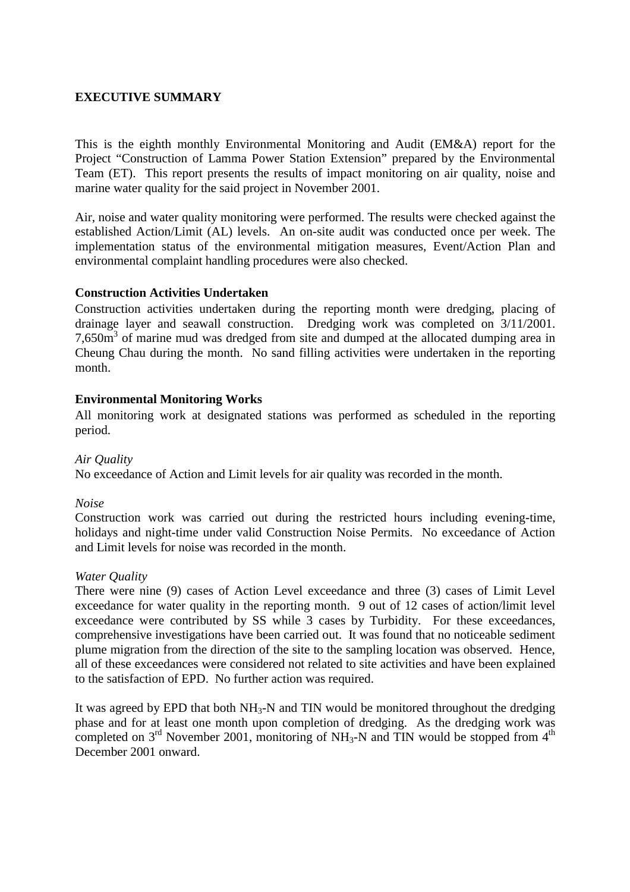### **EXECUTIVE SUMMARY**

This is the eighth monthly Environmental Monitoring and Audit (EM&A) report for the Project "Construction of Lamma Power Station Extension" prepared by the Environmental Team (ET). This report presents the results of impact monitoring on air quality, noise and marine water quality for the said project in November 2001.

Air, noise and water quality monitoring were performed. The results were checked against the established Action/Limit (AL) levels. An on-site audit was conducted once per week. The implementation status of the environmental mitigation measures, Event/Action Plan and environmental complaint handling procedures were also checked.

#### **Construction Activities Undertaken**

Construction activities undertaken during the reporting month were dredging, placing of drainage layer and seawall construction. Dredging work was completed on 3/11/2001. 7,650m<sup>3</sup> of marine mud was dredged from site and dumped at the allocated dumping area in Cheung Chau during the month. No sand filling activities were undertaken in the reporting month.

### **Environmental Monitoring Works**

All monitoring work at designated stations was performed as scheduled in the reporting period.

#### *Air Quality*

No exceedance of Action and Limit levels for air quality was recorded in the month.

#### *Noise*

Construction work was carried out during the restricted hours including evening-time, holidays and night-time under valid Construction Noise Permits. No exceedance of Action and Limit levels for noise was recorded in the month.

#### *Water Quality*

There were nine (9) cases of Action Level exceedance and three (3) cases of Limit Level exceedance for water quality in the reporting month. 9 out of 12 cases of action/limit level exceedance were contributed by SS while 3 cases by Turbidity. For these exceedances, comprehensive investigations have been carried out. It was found that no noticeable sediment plume migration from the direction of the site to the sampling location was observed. Hence, all of these exceedances were considered not related to site activities and have been explained to the satisfaction of EPD. No further action was required.

It was agreed by EPD that both  $NH_3-N$  and TIN would be monitored throughout the dredging phase and for at least one month upon completion of dredging. As the dredging work was completed on  $3<sup>rd</sup>$  November 2001, monitoring of NH<sub>3</sub>-N and TIN would be stopped from  $4<sup>th</sup>$ December 2001 onward.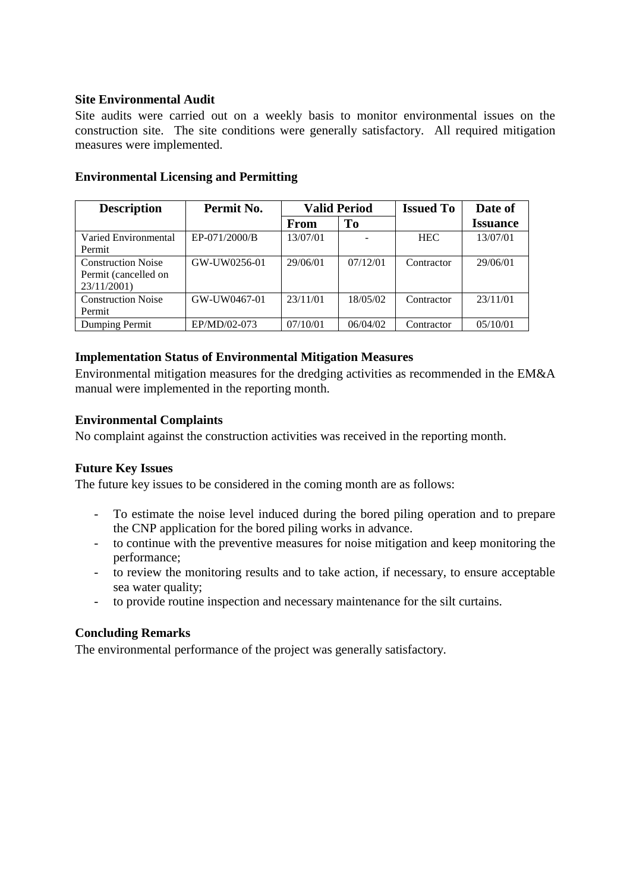### **Site Environmental Audit**

Site audits were carried out on a weekly basis to monitor environmental issues on the construction site. The site conditions were generally satisfactory. All required mitigation measures were implemented.

| <b>Description</b>        | Permit No.    | <b>Valid Period</b> |          | <b>Issued To</b> | Date of         |
|---------------------------|---------------|---------------------|----------|------------------|-----------------|
|                           |               | <b>From</b>         | To       |                  | <b>Issuance</b> |
| Varied Environmental      | EP-071/2000/B | 13/07/01            |          | <b>HEC</b>       | 13/07/01        |
| Permit                    |               |                     |          |                  |                 |
| <b>Construction Noise</b> | GW-UW0256-01  | 29/06/01            | 07/12/01 | Contractor       | 29/06/01        |
| Permit (cancelled on      |               |                     |          |                  |                 |
| 23/11/2001)               |               |                     |          |                  |                 |
| <b>Construction Noise</b> | GW-UW0467-01  | 23/11/01            | 18/05/02 | Contractor       | 23/11/01        |
| Permit                    |               |                     |          |                  |                 |
| Dumping Permit            | EP/MD/02-073  | 07/10/01            | 06/04/02 | Contractor       | 05/10/01        |

### **Environmental Licensing and Permitting**

### **Implementation Status of Environmental Mitigation Measures**

Environmental mitigation measures for the dredging activities as recommended in the EM&A manual were implemented in the reporting month.

### **Environmental Complaints**

No complaint against the construction activities was received in the reporting month.

### **Future Key Issues**

The future key issues to be considered in the coming month are as follows:

- To estimate the noise level induced during the bored piling operation and to prepare the CNP application for the bored piling works in advance.
- to continue with the preventive measures for noise mitigation and keep monitoring the performance;
- to review the monitoring results and to take action, if necessary, to ensure acceptable sea water quality;
- to provide routine inspection and necessary maintenance for the silt curtains.

### **Concluding Remarks**

The environmental performance of the project was generally satisfactory.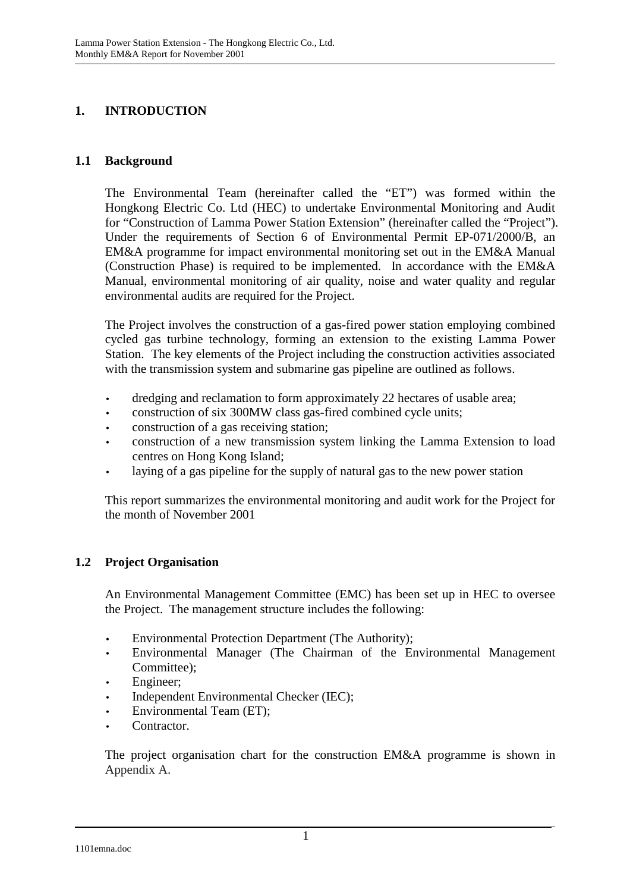# **1. INTRODUCTION**

### **1.1 Background**

The Environmental Team (hereinafter called the "ET") was formed within the Hongkong Electric Co. Ltd (HEC) to undertake Environmental Monitoring and Audit for "Construction of Lamma Power Station Extension" (hereinafter called the "Project"). Under the requirements of Section 6 of Environmental Permit EP-071/2000/B, an EM&A programme for impact environmental monitoring set out in the EM&A Manual (Construction Phase) is required to be implemented. In accordance with the EM&A Manual, environmental monitoring of air quality, noise and water quality and regular environmental audits are required for the Project.

The Project involves the construction of a gas-fired power station employing combined cycled gas turbine technology, forming an extension to the existing Lamma Power Station. The key elements of the Project including the construction activities associated with the transmission system and submarine gas pipeline are outlined as follows.

- dredging and reclamation to form approximately 22 hectares of usable area;
- construction of six 300MW class gas-fired combined cycle units;
- construction of a gas receiving station;
- construction of a new transmission system linking the Lamma Extension to load centres on Hong Kong Island;
- laying of a gas pipeline for the supply of natural gas to the new power station

This report summarizes the environmental monitoring and audit work for the Project for the month of November 2001

### **1.2 Project Organisation**

An Environmental Management Committee (EMC) has been set up in HEC to oversee the Project. The management structure includes the following:

- Environmental Protection Department (The Authority);
- Environmental Manager (The Chairman of the Environmental Management Committee);
- Engineer;
- Independent Environmental Checker (IEC);
- Environmental Team (ET);
- Contractor.

The project organisation chart for the construction EM&A programme is shown in Appendix A.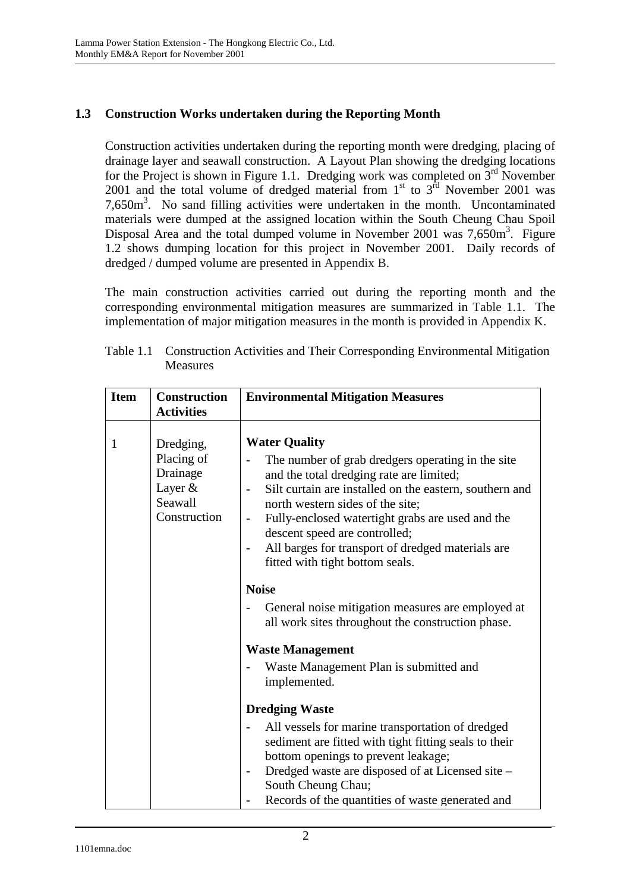## **1.3 Construction Works undertaken during the Reporting Month**

Construction activities undertaken during the reporting month were dredging, placing of drainage layer and seawall construction. A Layout Plan showing the dredging locations for the Project is shown in Figure 1.1. Dredging work was completed on  $3<sup>rd</sup>$  November 2001 and the total volume of dredged material from  $1<sup>st</sup>$  to  $3<sup>rd</sup>$  November 2001 was 7,650m<sup>3</sup>. No sand filling activities were undertaken in the month. Uncontaminated materials were dumped at the assigned location within the South Cheung Chau Spoil Disposal Area and the total dumped volume in November 2001 was  $7,650m^3$ . Figure 1.2 shows dumping location for this project in November 2001. Daily records of dredged / dumped volume are presented in Appendix B.

The main construction activities carried out during the reporting month and the corresponding environmental mitigation measures are summarized in Table 1.1. The implementation of major mitigation measures in the month is provided in Appendix K.

| <b>Item</b> | <b>Construction</b><br><b>Activities</b>                                  | <b>Environmental Mitigation Measures</b>                                                                                                                                                                                                                                                                                                                                                          |  |
|-------------|---------------------------------------------------------------------------|---------------------------------------------------------------------------------------------------------------------------------------------------------------------------------------------------------------------------------------------------------------------------------------------------------------------------------------------------------------------------------------------------|--|
| 1           | Dredging,<br>Placing of<br>Drainage<br>Layer &<br>Seawall<br>Construction | <b>Water Quality</b><br>The number of grab dredgers operating in the site<br>and the total dredging rate are limited;<br>Silt curtain are installed on the eastern, southern and<br>north western sides of the site;<br>Fully-enclosed watertight grabs are used and the<br>descent speed are controlled;<br>All barges for transport of dredged materials are<br>fitted with tight bottom seals. |  |
|             |                                                                           | <b>Noise</b>                                                                                                                                                                                                                                                                                                                                                                                      |  |
|             |                                                                           | General noise mitigation measures are employed at<br>all work sites throughout the construction phase.                                                                                                                                                                                                                                                                                            |  |
|             |                                                                           | <b>Waste Management</b>                                                                                                                                                                                                                                                                                                                                                                           |  |
|             |                                                                           | Waste Management Plan is submitted and<br>implemented.                                                                                                                                                                                                                                                                                                                                            |  |
|             |                                                                           | <b>Dredging Waste</b>                                                                                                                                                                                                                                                                                                                                                                             |  |
|             |                                                                           | All vessels for marine transportation of dredged<br>sediment are fitted with tight fitting seals to their<br>bottom openings to prevent leakage;<br>Dredged waste are disposed of at Licensed site -<br>South Cheung Chau;<br>Records of the quantities of waste generated and                                                                                                                    |  |

| Table 1.1 Construction Activities and Their Corresponding Environmental Mitigation |
|------------------------------------------------------------------------------------|
| Measures                                                                           |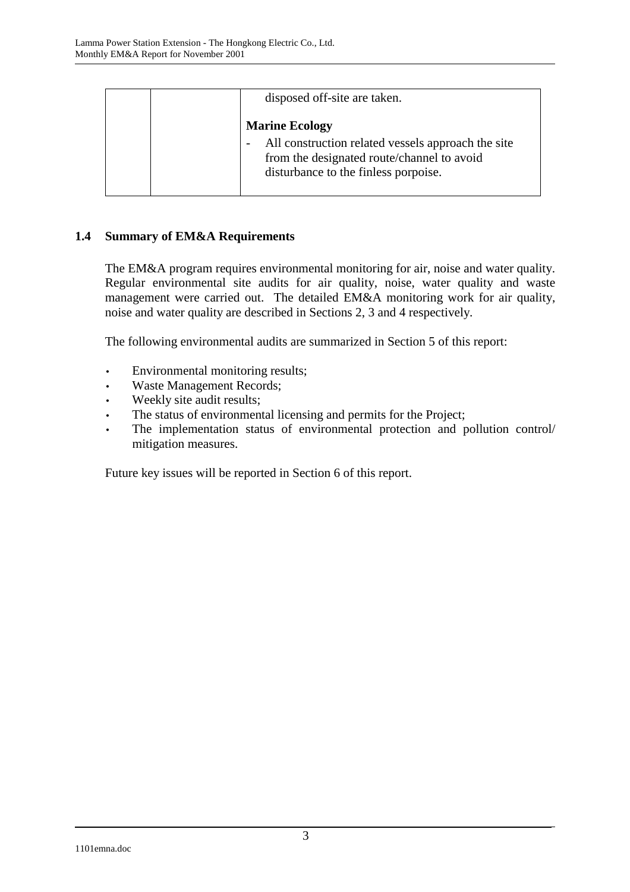| disposed off-site are taken.                                                                                                             |  |  |
|------------------------------------------------------------------------------------------------------------------------------------------|--|--|
| <b>Marine Ecology</b>                                                                                                                    |  |  |
| All construction related vessels approach the site<br>from the designated route/channel to avoid<br>disturbance to the finless porpoise. |  |  |

## **1.4 Summary of EM&A Requirements**

The EM&A program requires environmental monitoring for air, noise and water quality. Regular environmental site audits for air quality, noise, water quality and waste management were carried out. The detailed EM&A monitoring work for air quality, noise and water quality are described in Sections 2, 3 and 4 respectively.

The following environmental audits are summarized in Section 5 of this report:

- Environmental monitoring results;
- Waste Management Records;
- Weekly site audit results;
- The status of environmental licensing and permits for the Project;
- The implementation status of environmental protection and pollution control/ mitigation measures.

Future key issues will be reported in Section 6 of this report.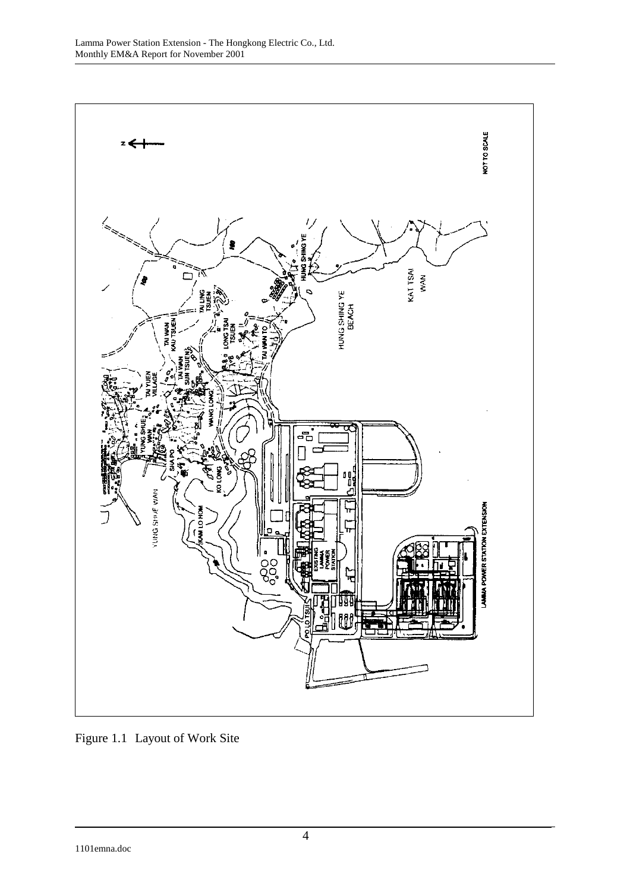

Figure 1.1 Layout of Work Site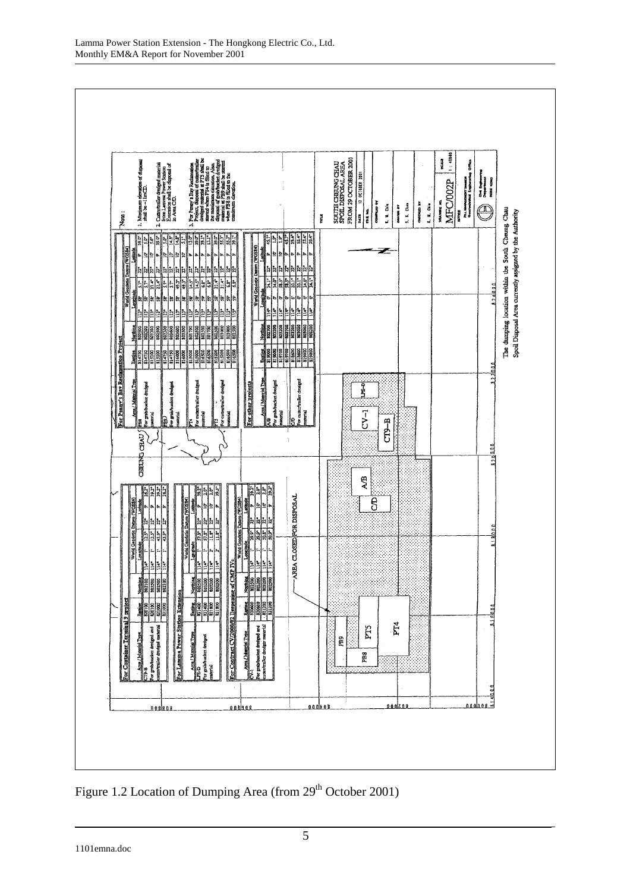

Figure 1.2 Location of Dumping Area (from 29<sup>th</sup> October 2001)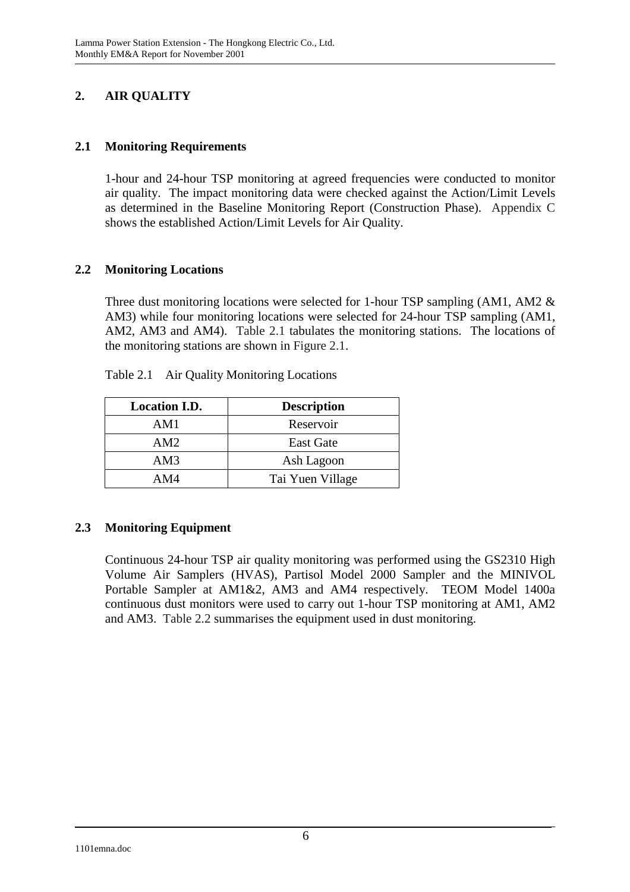# **2. AIR QUALITY**

### **2.1 Monitoring Requirements**

1-hour and 24-hour TSP monitoring at agreed frequencies were conducted to monitor air quality. The impact monitoring data were checked against the Action/Limit Levels as determined in the Baseline Monitoring Report (Construction Phase). Appendix C shows the established Action/Limit Levels for Air Quality.

## **2.2 Monitoring Locations**

Three dust monitoring locations were selected for 1-hour TSP sampling (AM1, AM2 & AM3) while four monitoring locations were selected for 24-hour TSP sampling (AM1, AM2, AM3 and AM4). Table 2.1 tabulates the monitoring stations. The locations of the monitoring stations are shown in Figure 2.1.

| <b>Location I.D.</b> | <b>Description</b> |
|----------------------|--------------------|
| AM1                  | Reservoir          |
| AM2                  | <b>East Gate</b>   |
| AM3                  | Ash Lagoon         |
| AM4                  | Tai Yuen Village   |

Table 2.1 Air Quality Monitoring Locations

## **2.3 Monitoring Equipment**

Continuous 24-hour TSP air quality monitoring was performed using the GS2310 High Volume Air Samplers (HVAS), Partisol Model 2000 Sampler and the MINIVOL Portable Sampler at AM1&2, AM3 and AM4 respectively. TEOM Model 1400a continuous dust monitors were used to carry out 1-hour TSP monitoring at AM1, AM2 and AM3. Table 2.2 summarises the equipment used in dust monitoring.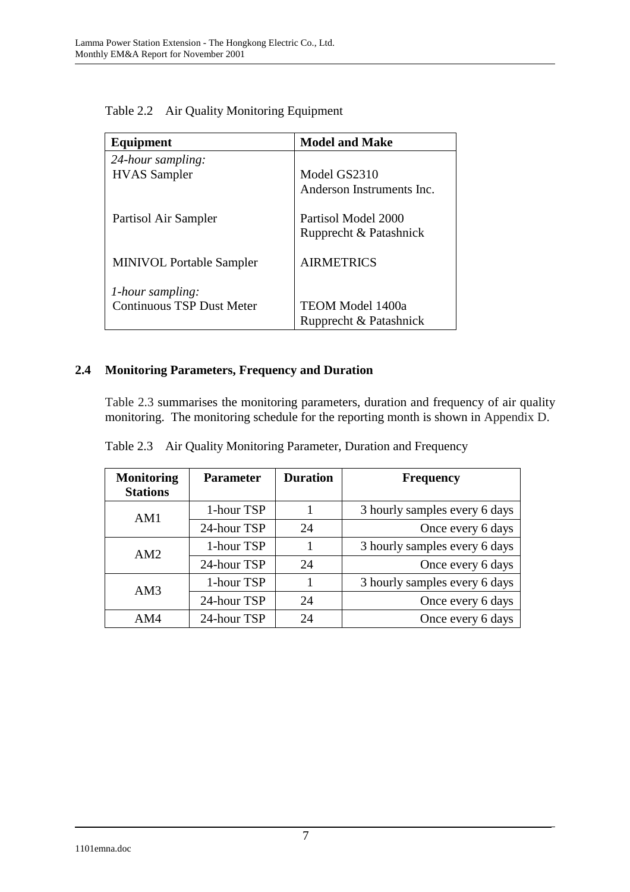| Equipment                        | <b>Model and Make</b>     |
|----------------------------------|---------------------------|
| 24-hour sampling:                |                           |
| <b>HVAS</b> Sampler              | Model GS2310              |
|                                  | Anderson Instruments Inc. |
| Partisol Air Sampler             | Partisol Model 2000       |
|                                  | Rupprecht & Patashnick    |
| <b>MINIVOL Portable Sampler</b>  | <b>AIRMETRICS</b>         |
| 1-hour sampling:                 |                           |
| <b>Continuous TSP Dust Meter</b> | TEOM Model 1400a          |
|                                  | Rupprecht & Patashnick    |

Table 2.2 Air Quality Monitoring Equipment

### **2.4 Monitoring Parameters, Frequency and Duration**

Table 2.3 summarises the monitoring parameters, duration and frequency of air quality monitoring. The monitoring schedule for the reporting month is shown in Appendix D.

| <b>Monitoring</b><br><b>Stations</b> | <b>Parameter</b> | <b>Duration</b> | <b>Frequency</b>              |
|--------------------------------------|------------------|-----------------|-------------------------------|
| AM1                                  | 1-hour TSP       |                 | 3 hourly samples every 6 days |
|                                      | 24-hour TSP      | 24              | Once every 6 days             |
| AM2                                  | 1-hour TSP       |                 | 3 hourly samples every 6 days |
|                                      | 24-hour TSP      | 24              | Once every 6 days             |
| AM3                                  | 1-hour TSP       |                 | 3 hourly samples every 6 days |
|                                      | 24-hour TSP      | 24              | Once every 6 days             |
| AM4                                  | 24-hour TSP      | 24              | Once every 6 days             |

Table 2.3 Air Quality Monitoring Parameter, Duration and Frequency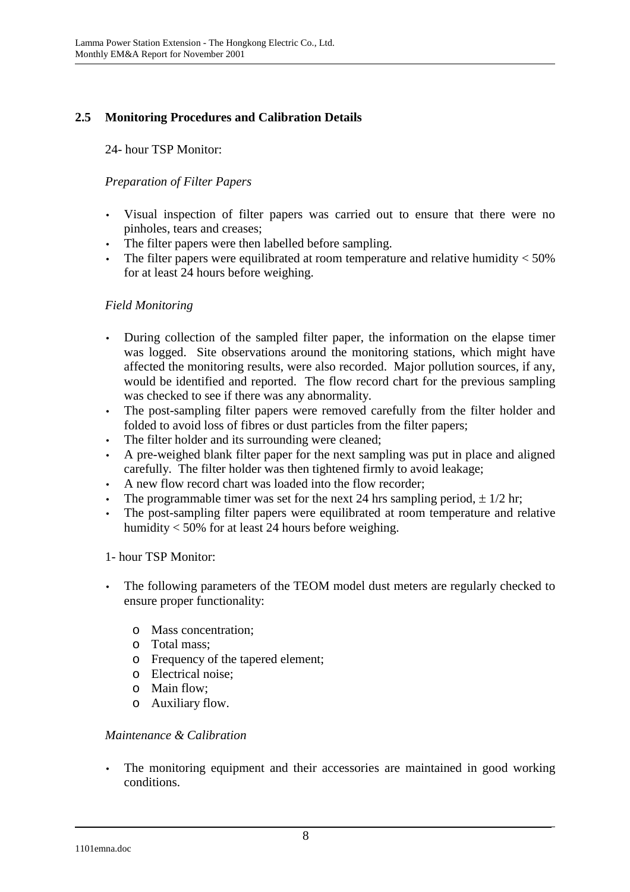# **2.5 Monitoring Procedures and Calibration Details**

24- hour TSP Monitor:

## *Preparation of Filter Papers*

- Visual inspection of filter papers was carried out to ensure that there were no pinholes, tears and creases;
- The filter papers were then labelled before sampling.
- The filter papers were equilibrated at room temperature and relative humidity  $<$  50% for at least 24 hours before weighing.

### *Field Monitoring*

- During collection of the sampled filter paper, the information on the elapse timer was logged. Site observations around the monitoring stations, which might have affected the monitoring results, were also recorded. Major pollution sources, if any, would be identified and reported. The flow record chart for the previous sampling was checked to see if there was any abnormality.
- The post-sampling filter papers were removed carefully from the filter holder and folded to avoid loss of fibres or dust particles from the filter papers;
- The filter holder and its surrounding were cleaned;
- A pre-weighed blank filter paper for the next sampling was put in place and aligned carefully. The filter holder was then tightened firmly to avoid leakage;
- A new flow record chart was loaded into the flow recorder;
- The programmable timer was set for the next 24 hrs sampling period,  $\pm$  1/2 hr;
- The post-sampling filter papers were equilibrated at room temperature and relative humidity < 50% for at least 24 hours before weighing.

### 1- hour TSP Monitor:

- The following parameters of the TEOM model dust meters are regularly checked to ensure proper functionality:
	- o Mass concentration;
	- o Total mass;
	- o Frequency of the tapered element;
	- o Electrical noise;
	- o Main flow;
	- o Auxiliary flow.

### *Maintenance & Calibration*

• The monitoring equipment and their accessories are maintained in good working conditions.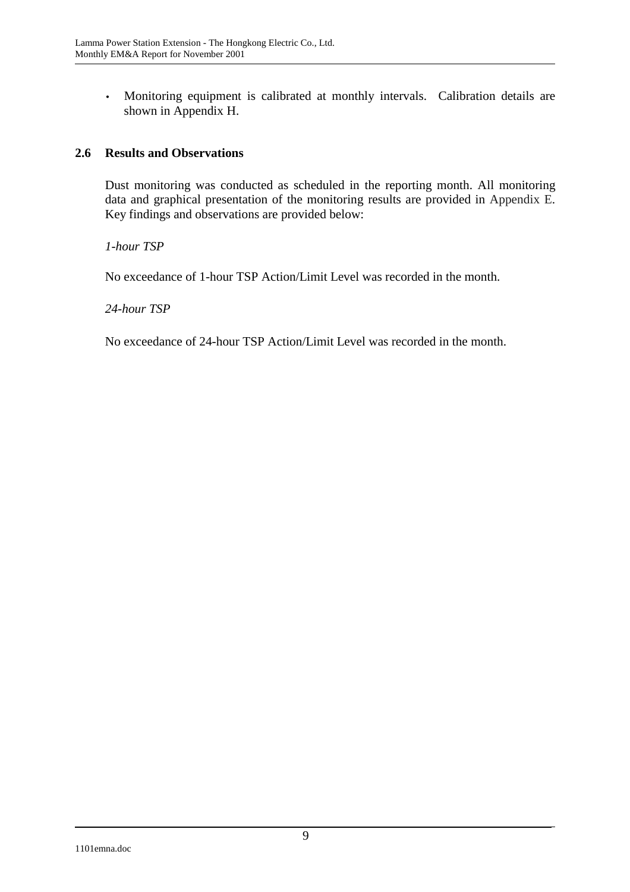• Monitoring equipment is calibrated at monthly intervals. Calibration details are shown in Appendix H.

### **2.6 Results and Observations**

Dust monitoring was conducted as scheduled in the reporting month. All monitoring data and graphical presentation of the monitoring results are provided in Appendix E. Key findings and observations are provided below:

*1-hour TSP* 

No exceedance of 1-hour TSP Action/Limit Level was recorded in the month.

### *24-hour TSP*

No exceedance of 24-hour TSP Action/Limit Level was recorded in the month.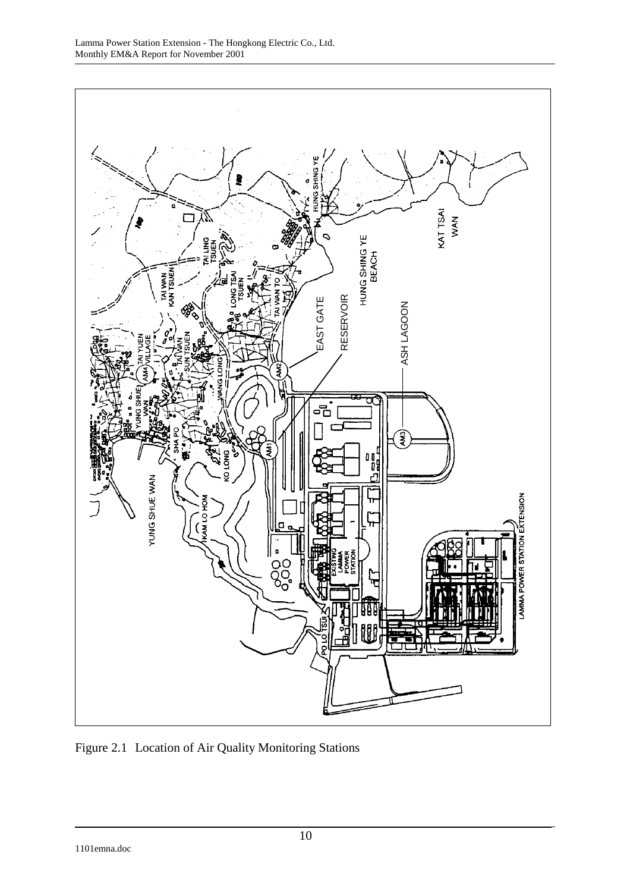

Figure 2.1 Location of Air Quality Monitoring Stations

1101emna.doc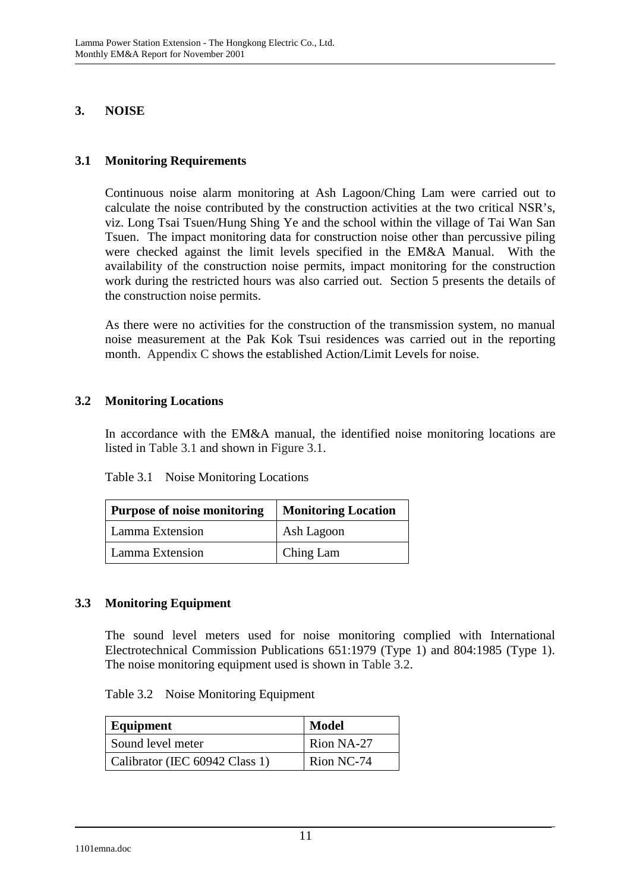## **3. NOISE**

## **3.1 Monitoring Requirements**

Continuous noise alarm monitoring at Ash Lagoon/Ching Lam were carried out to calculate the noise contributed by the construction activities at the two critical NSR's, viz. Long Tsai Tsuen/Hung Shing Ye and the school within the village of Tai Wan San Tsuen. The impact monitoring data for construction noise other than percussive piling were checked against the limit levels specified in the EM&A Manual. With the availability of the construction noise permits, impact monitoring for the construction work during the restricted hours was also carried out. Section 5 presents the details of the construction noise permits.

As there were no activities for the construction of the transmission system, no manual noise measurement at the Pak Kok Tsui residences was carried out in the reporting month. Appendix C shows the established Action/Limit Levels for noise.

### **3.2 Monitoring Locations**

In accordance with the EM&A manual, the identified noise monitoring locations are listed in Table 3.1 and shown in Figure 3.1.

| Purpose of noise monitoring | <b>Monitoring Location</b> |  |
|-----------------------------|----------------------------|--|
| Lamma Extension             | Ash Lagoon                 |  |
| Lamma Extension             | Ching Lam                  |  |

### **3.3 Monitoring Equipment**

The sound level meters used for noise monitoring complied with International Electrotechnical Commission Publications 651:1979 (Type 1) and 804:1985 (Type 1). The noise monitoring equipment used is shown in Table 3.2.

| Equipment                      | <b>Model</b> |
|--------------------------------|--------------|
| Sound level meter              | Rion NA-27   |
| Calibrator (IEC 60942 Class 1) | Rion NC-74   |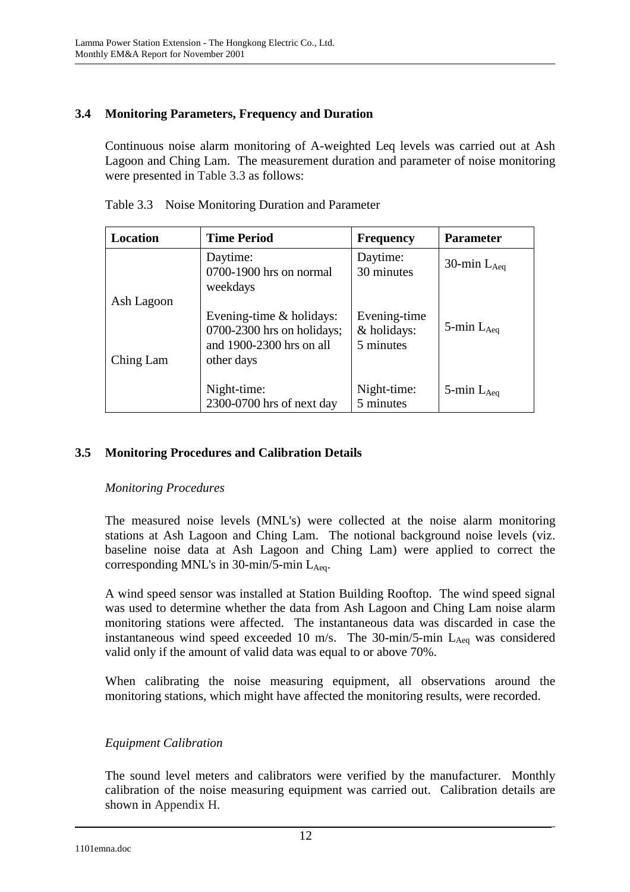## **3.4 Monitoring Parameters, Frequency and Duration**

Continuous noise alarm monitoring of A-weighted Leq levels was carried out at Ash Lagoon and Ching Lam. The measurement duration and parameter of noise monitoring were presented in Table 3.3 as follows:

| Location   | <b>Time Period</b>                                                                                   | <b>Frequency</b>                         | <b>Parameter</b>   |
|------------|------------------------------------------------------------------------------------------------------|------------------------------------------|--------------------|
|            | Daytime:<br>0700-1900 hrs on normal<br>weekdays                                                      | Daytime:<br>30 minutes                   | 30-min $L_{Aeq}$   |
| Ash Lagoon |                                                                                                      |                                          |                    |
| Ching Lam  | Evening-time $&$ holidays:<br>$0700-2300$ hrs on holidays;<br>and 1900-2300 hrs on all<br>other days | Evening-time<br>& holidays:<br>5 minutes | 5-min $L_{Aeq}$    |
|            | Night-time:<br>2300-0700 hrs of next day                                                             | Night-time:<br>5 minutes                 | $5$ -min $L_{Aea}$ |

Table 3.3 Noise Monitoring Duration and Parameter

## **3.5 Monitoring Procedures and Calibration Details**

### *Monitoring Procedures*

The measured noise levels (MNL's) were collected at the noise alarm monitoring stations at Ash Lagoon and Ching Lam. The notional background noise levels (viz. baseline noise data at Ash Lagoon and Ching Lam) were applied to correct the corresponding MNL's in  $30$ -min/5-min L<sub>Aeq</sub>.

A wind speed sensor was installed at Station Building Rooftop. The wind speed signal was used to determine whether the data from Ash Lagoon and Ching Lam noise alarm monitoring stations were affected. The instantaneous data was discarded in case the instantaneous wind speed exceeded 10 m/s. The 30-min/5-min  $L_{Aeq}$  was considered valid only if the amount of valid data was equal to or above 70%.

When calibrating the noise measuring equipment, all observations around the monitoring stations, which might have affected the monitoring results, were recorded.

## *Equipment Calibration*

The sound level meters and calibrators were verified by the manufacturer. Monthly calibration of the noise measuring equipment was carried out. Calibration details are shown in Appendix H.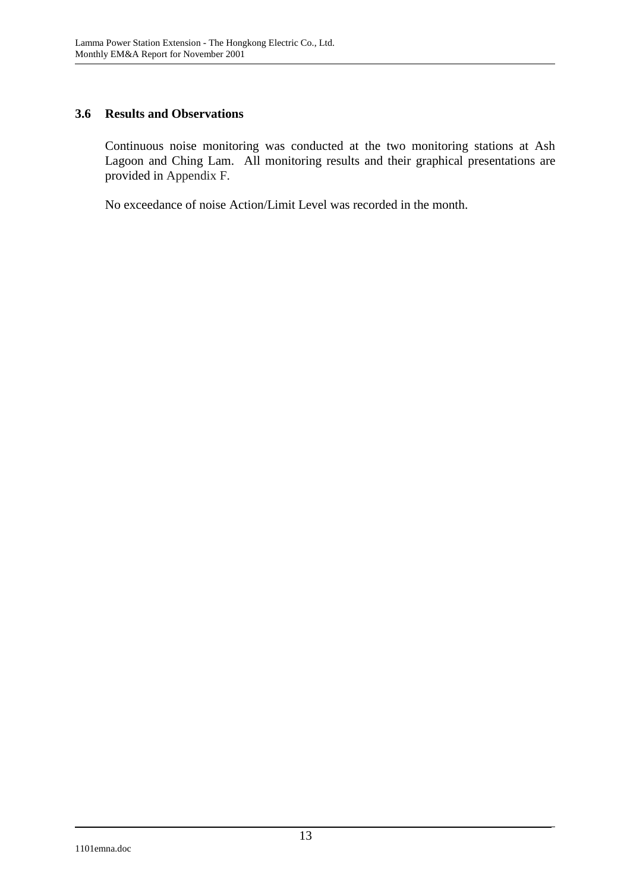### **3.6 Results and Observations**

Continuous noise monitoring was conducted at the two monitoring stations at Ash Lagoon and Ching Lam. All monitoring results and their graphical presentations are provided in Appendix F.

No exceedance of noise Action/Limit Level was recorded in the month.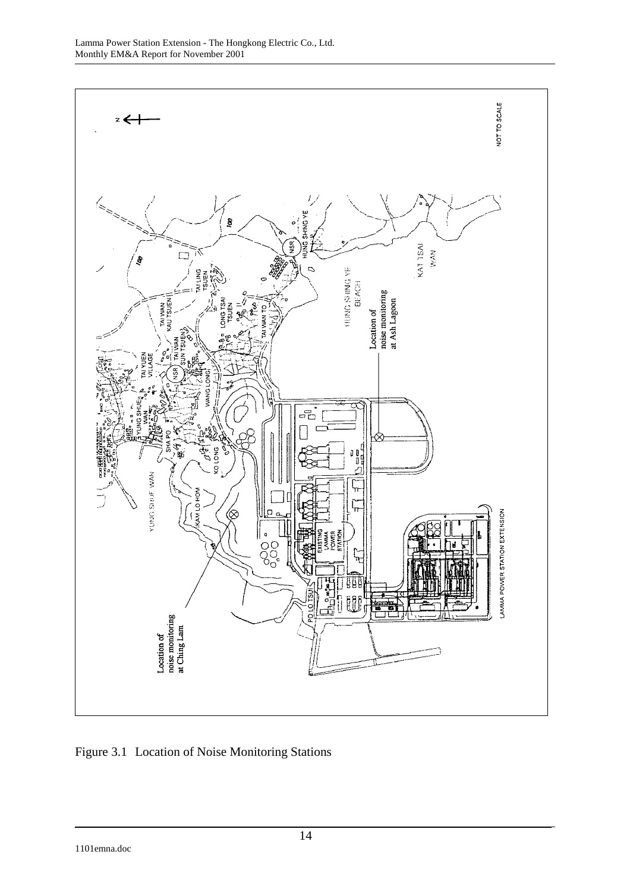

Figure 3.1 Location of Noise Monitoring Stations

1101emna.doc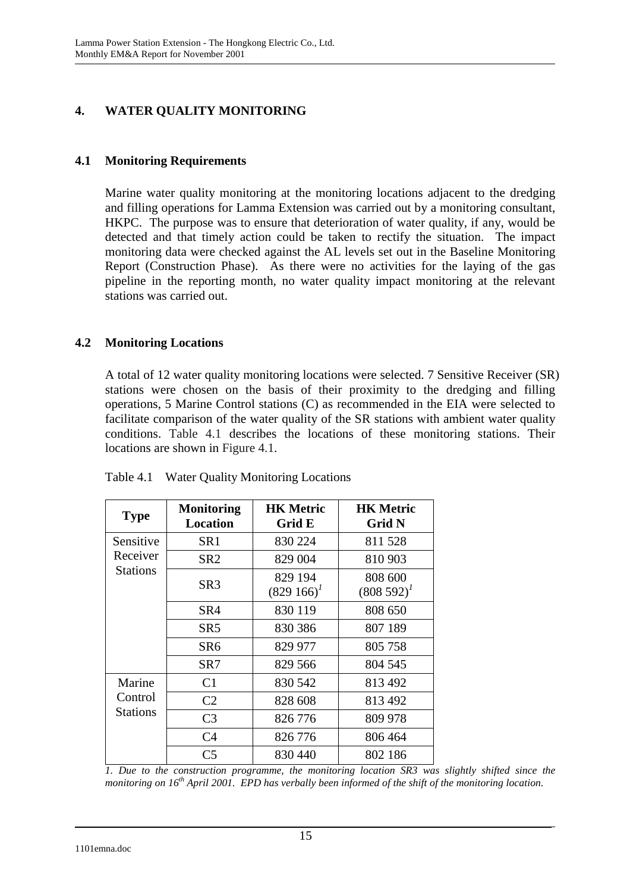# **4. WATER QUALITY MONITORING**

## **4.1 Monitoring Requirements**

Marine water quality monitoring at the monitoring locations adjacent to the dredging and filling operations for Lamma Extension was carried out by a monitoring consultant, HKPC. The purpose was to ensure that deterioration of water quality, if any, would be detected and that timely action could be taken to rectify the situation. The impact monitoring data were checked against the AL levels set out in the Baseline Monitoring Report (Construction Phase). As there were no activities for the laying of the gas pipeline in the reporting month, no water quality impact monitoring at the relevant stations was carried out.

## **4.2 Monitoring Locations**

A total of 12 water quality monitoring locations were selected. 7 Sensitive Receiver (SR) stations were chosen on the basis of their proximity to the dredging and filling operations, 5 Marine Control stations (C) as recommended in the EIA were selected to facilitate comparison of the water quality of the SR stations with ambient water quality conditions. Table 4.1 describes the locations of these monitoring stations. Their locations are shown in Figure 4.1.

| <b>Type</b>     | <b>Monitoring</b><br><b>Location</b> | <b>HK Metric</b><br>Grid E | <b>HK Metric</b><br><b>Grid N</b> |
|-----------------|--------------------------------------|----------------------------|-----------------------------------|
| Sensitive       | SR <sub>1</sub>                      | 830 224                    | 811 528                           |
| Receiver        | SR2                                  | 829 004                    | 810 903                           |
| <b>Stations</b> | SR <sub>3</sub>                      | 829 194<br>$(829166)^{1}$  | 808 600<br>$(808592)^{1}$         |
|                 | SR4                                  | 830 119                    | 808 650                           |
|                 | SR <sub>5</sub>                      | 830 386                    | 807 189                           |
|                 | SR6                                  | 829 977                    | 805 758                           |
|                 | SR7                                  | 829 566                    | 804 545                           |
| Marine          | C <sub>1</sub>                       | 830 542                    | 813 492                           |
| Control         | C <sub>2</sub>                       | 828 608                    | 813 492                           |
| Stations        | C <sub>3</sub>                       | 826 776                    | 809 978                           |
|                 | C <sub>4</sub>                       | 826 776                    | 806 464                           |
|                 | C <sub>5</sub>                       | 830 440                    | 802 186                           |

Table 4.1 Water Quality Monitoring Locations

*1. Due to the construction programme, the monitoring location SR3 was slightly shifted since the monitoring on 16th April 2001. EPD has verbally been informed of the shift of the monitoring location.*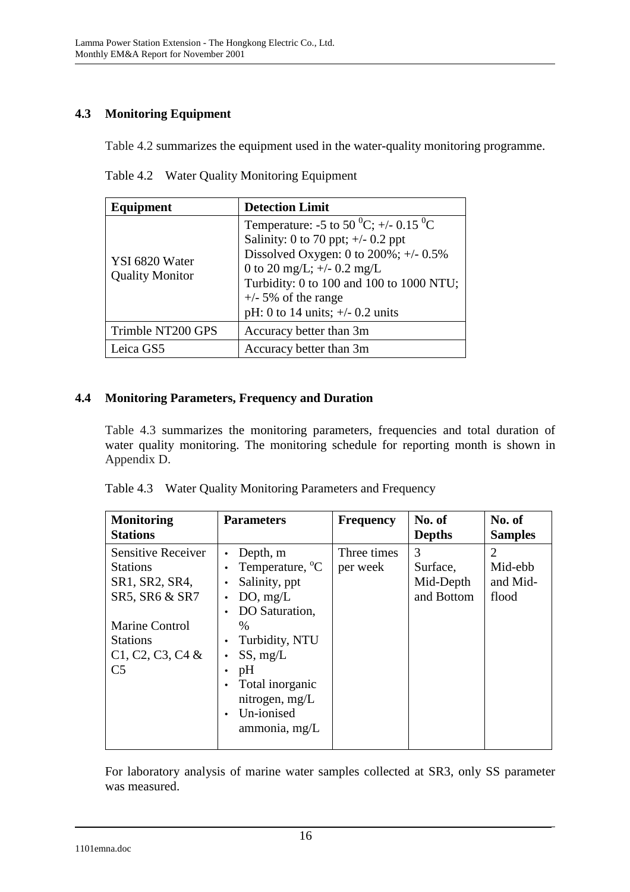# **4.3 Monitoring Equipment**

Table 4.2 summarizes the equipment used in the water-quality monitoring programme.

| Equipment                                | <b>Detection Limit</b>                                                                                                                                                                                                                                                                           |
|------------------------------------------|--------------------------------------------------------------------------------------------------------------------------------------------------------------------------------------------------------------------------------------------------------------------------------------------------|
| YSI 6820 Water<br><b>Quality Monitor</b> | Temperature: -5 to 50 <sup>0</sup> C; +/- 0.15 <sup>0</sup> C<br>Salinity: 0 to 70 ppt; $\pm$ /- 0.2 ppt<br>Dissolved Oxygen: 0 to $200\%$ ; +/- 0.5%<br>0 to 20 mg/L; $+/-$ 0.2 mg/L<br>Turbidity: 0 to 100 and 100 to 1000 NTU;<br>$+/-$ 5% of the range<br>pH: 0 to 14 units; $+/- 0.2$ units |
| Trimble NT200 GPS                        | Accuracy better than 3m                                                                                                                                                                                                                                                                          |
| Leica GS5                                | Accuracy better than 3m                                                                                                                                                                                                                                                                          |

Table 4.2 Water Quality Monitoring Equipment

## **4.4 Monitoring Parameters, Frequency and Duration**

Table 4.3 summarizes the monitoring parameters, frequencies and total duration of water quality monitoring. The monitoring schedule for reporting month is shown in Appendix D.

| <b>Monitoring</b><br><b>Stations</b>                                             | <b>Parameters</b>                                                                                                                                            | <b>Frequency</b>        | No. of<br><b>Depths</b>                  | No. of<br><b>Samples</b>                                    |
|----------------------------------------------------------------------------------|--------------------------------------------------------------------------------------------------------------------------------------------------------------|-------------------------|------------------------------------------|-------------------------------------------------------------|
| <b>Sensitive Receiver</b><br><b>Stations</b><br>SR1, SR2, SR4,<br>SR5, SR6 & SR7 | Depth, m<br>Temperature, <sup>o</sup> C<br>$\bullet$<br>Salinity, ppt<br>DO, mg/L<br>$\bullet$<br>DO Saturation,                                             | Three times<br>per week | 3<br>Surface,<br>Mid-Depth<br>and Bottom | $\mathcal{D}_{\mathcal{L}}$<br>Mid-ebb<br>and Mid-<br>flood |
| Marine Control<br><b>Stations</b><br>$C1, C2, C3, C4$ &<br>C <sub>5</sub>        | $\frac{0}{0}$<br>Turbidity, NTU<br>$\bullet$<br>SS, mg/L<br>$\bullet$<br>pH<br>Total inorganic<br>nitrogen, mg/L<br>Un-ionised<br>$\bullet$<br>ammonia, mg/L |                         |                                          |                                                             |

|  | Table 4.3 Water Quality Monitoring Parameters and Frequency |  |
|--|-------------------------------------------------------------|--|
|--|-------------------------------------------------------------|--|

For laboratory analysis of marine water samples collected at SR3, only SS parameter was measured.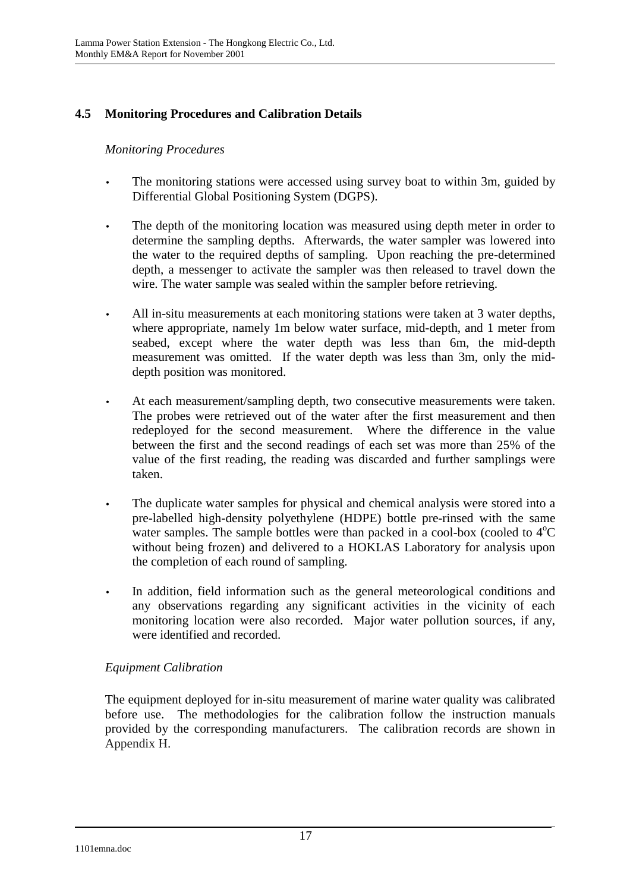# **4.5 Monitoring Procedures and Calibration Details**

### *Monitoring Procedures*

- The monitoring stations were accessed using survey boat to within 3m, guided by Differential Global Positioning System (DGPS).
- The depth of the monitoring location was measured using depth meter in order to determine the sampling depths. Afterwards, the water sampler was lowered into the water to the required depths of sampling. Upon reaching the pre-determined depth, a messenger to activate the sampler was then released to travel down the wire. The water sample was sealed within the sampler before retrieving.
- All in-situ measurements at each monitoring stations were taken at 3 water depths, where appropriate, namely 1m below water surface, mid-depth, and 1 meter from seabed, except where the water depth was less than 6m, the mid-depth measurement was omitted. If the water depth was less than 3m, only the middepth position was monitored.
- At each measurement/sampling depth, two consecutive measurements were taken. The probes were retrieved out of the water after the first measurement and then redeployed for the second measurement. Where the difference in the value between the first and the second readings of each set was more than 25% of the value of the first reading, the reading was discarded and further samplings were taken.
- The duplicate water samples for physical and chemical analysis were stored into a pre-labelled high-density polyethylene (HDPE) bottle pre-rinsed with the same water samples. The sample bottles were than packed in a cool-box (cooled to  $4^{\circ}C$ without being frozen) and delivered to a HOKLAS Laboratory for analysis upon the completion of each round of sampling.
- In addition, field information such as the general meteorological conditions and any observations regarding any significant activities in the vicinity of each monitoring location were also recorded. Major water pollution sources, if any, were identified and recorded.

### *Equipment Calibration*

The equipment deployed for in-situ measurement of marine water quality was calibrated before use. The methodologies for the calibration follow the instruction manuals provided by the corresponding manufacturers. The calibration records are shown in Appendix H.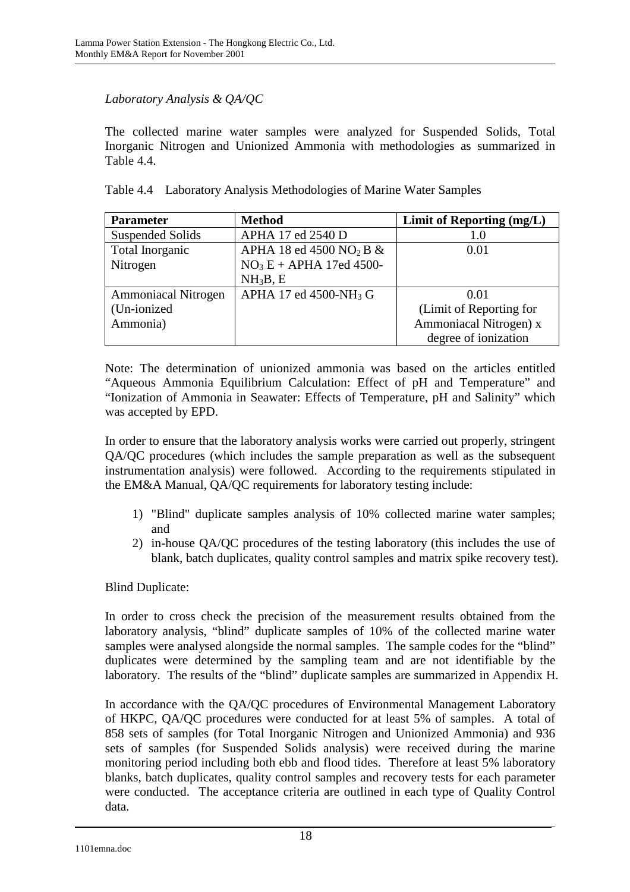## *Laboratory Analysis & QA/QC*

The collected marine water samples were analyzed for Suspended Solids, Total Inorganic Nitrogen and Unionized Ammonia with methodologies as summarized in Table 4.4.

|  |  |  |  |  | Table 4.4 Laboratory Analysis Methodologies of Marine Water Samples |
|--|--|--|--|--|---------------------------------------------------------------------|
|--|--|--|--|--|---------------------------------------------------------------------|

| <b>Parameter</b>           | <b>Method</b>                          | Limit of Reporting (mg/L) |
|----------------------------|----------------------------------------|---------------------------|
| <b>Suspended Solids</b>    | APHA 17 ed 2540 D                      | 1.0                       |
| Total Inorganic            | APHA 18 ed 4500 NO <sub>2</sub> B $\&$ | 0.01                      |
| Nitrogen                   | $NO3E + APHA$ 17ed 4500-               |                           |
|                            | NH <sub>3</sub> B, E                   |                           |
| <b>Ammoniacal Nitrogen</b> | APHA 17 ed 4500-NH <sub>3</sub> G      | 0.01                      |
| (Un-ionized                |                                        | (Limit of Reporting for   |
| Ammonia)                   |                                        | Ammoniacal Nitrogen) x    |
|                            |                                        | degree of ionization      |

Note: The determination of unionized ammonia was based on the articles entitled "Aqueous Ammonia Equilibrium Calculation: Effect of pH and Temperature" and "Ionization of Ammonia in Seawater: Effects of Temperature, pH and Salinity" which was accepted by EPD.

In order to ensure that the laboratory analysis works were carried out properly, stringent QA/QC procedures (which includes the sample preparation as well as the subsequent instrumentation analysis) were followed. According to the requirements stipulated in the EM&A Manual, QA/QC requirements for laboratory testing include:

- 1) "Blind" duplicate samples analysis of 10% collected marine water samples; and
- 2) in-house QA/QC procedures of the testing laboratory (this includes the use of blank, batch duplicates, quality control samples and matrix spike recovery test).

Blind Duplicate:

In order to cross check the precision of the measurement results obtained from the laboratory analysis, "blind" duplicate samples of 10% of the collected marine water samples were analysed alongside the normal samples. The sample codes for the "blind" duplicates were determined by the sampling team and are not identifiable by the laboratory. The results of the "blind" duplicate samples are summarized in Appendix H.

In accordance with the QA/QC procedures of Environmental Management Laboratory of HKPC, QA/QC procedures were conducted for at least 5% of samples. A total of 858 sets of samples (for Total Inorganic Nitrogen and Unionized Ammonia) and 936 sets of samples (for Suspended Solids analysis) were received during the marine monitoring period including both ebb and flood tides. Therefore at least 5% laboratory blanks, batch duplicates, quality control samples and recovery tests for each parameter were conducted. The acceptance criteria are outlined in each type of Quality Control data.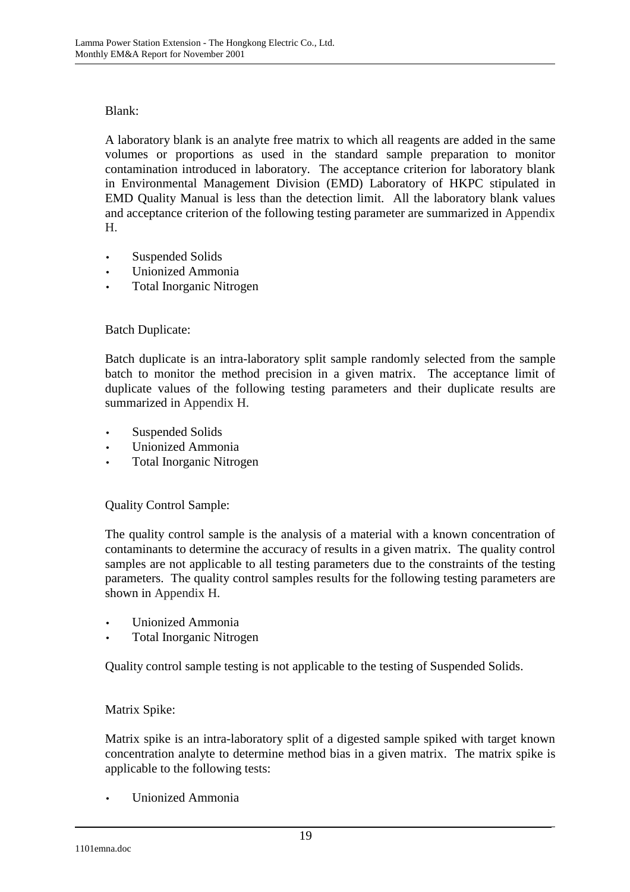### Blank:

A laboratory blank is an analyte free matrix to which all reagents are added in the same volumes or proportions as used in the standard sample preparation to monitor contamination introduced in laboratory. The acceptance criterion for laboratory blank in Environmental Management Division (EMD) Laboratory of HKPC stipulated in EMD Quality Manual is less than the detection limit. All the laboratory blank values and acceptance criterion of the following testing parameter are summarized in Appendix H.

- Suspended Solids
- Unionized Ammonia
- Total Inorganic Nitrogen

## Batch Duplicate:

Batch duplicate is an intra-laboratory split sample randomly selected from the sample batch to monitor the method precision in a given matrix. The acceptance limit of duplicate values of the following testing parameters and their duplicate results are summarized in Appendix H.

- Suspended Solids
- Unionized Ammonia
- Total Inorganic Nitrogen

### Quality Control Sample:

The quality control sample is the analysis of a material with a known concentration of contaminants to determine the accuracy of results in a given matrix. The quality control samples are not applicable to all testing parameters due to the constraints of the testing parameters. The quality control samples results for the following testing parameters are shown in Appendix H.

- Unionized Ammonia
- Total Inorganic Nitrogen

Quality control sample testing is not applicable to the testing of Suspended Solids.

### Matrix Spike:

Matrix spike is an intra-laboratory split of a digested sample spiked with target known concentration analyte to determine method bias in a given matrix. The matrix spike is applicable to the following tests:

• Unionized Ammonia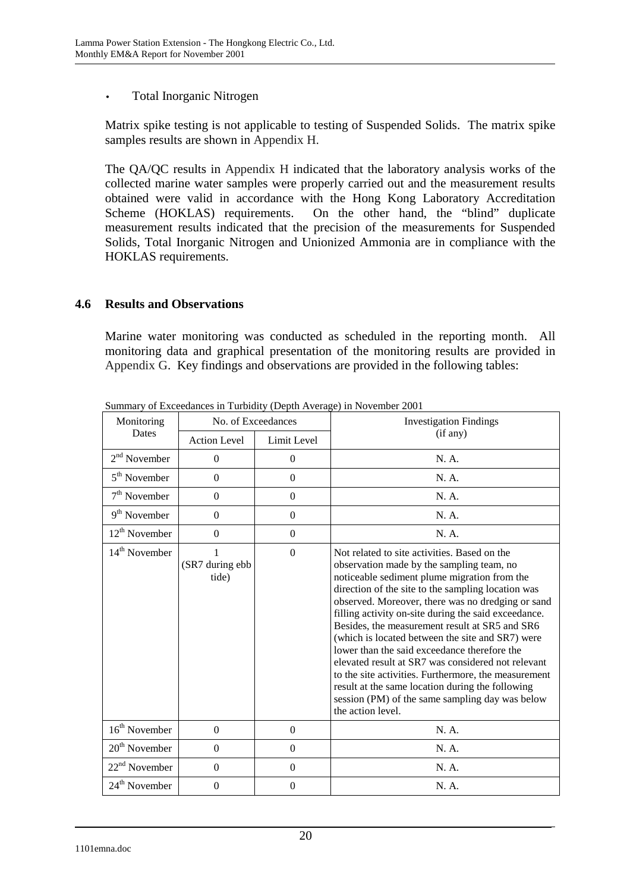• Total Inorganic Nitrogen

Matrix spike testing is not applicable to testing of Suspended Solids. The matrix spike samples results are shown in Appendix H.

The QA/QC results in Appendix H indicated that the laboratory analysis works of the collected marine water samples were properly carried out and the measurement results obtained were valid in accordance with the Hong Kong Laboratory Accreditation Scheme (HOKLAS) requirements. On the other hand, the "blind" duplicate measurement results indicated that the precision of the measurements for Suspended Solids, Total Inorganic Nitrogen and Unionized Ammonia are in compliance with the HOKLAS requirements.

### **4.6 Results and Observations**

Marine water monitoring was conducted as scheduled in the reporting month. All monitoring data and graphical presentation of the monitoring results are provided in Appendix G. Key findings and observations are provided in the following tables:

| No. of Exceedances<br>Monitoring |                               |                  | <b>Investigation Findings</b>                                                                                                                                                                                                                                                                                                                                                                                                                                                                                                                                                                                                                                                                                |
|----------------------------------|-------------------------------|------------------|--------------------------------------------------------------------------------------------------------------------------------------------------------------------------------------------------------------------------------------------------------------------------------------------------------------------------------------------------------------------------------------------------------------------------------------------------------------------------------------------------------------------------------------------------------------------------------------------------------------------------------------------------------------------------------------------------------------|
| <b>Dates</b>                     | <b>Action Level</b>           | Limit Level      | (if any)                                                                                                                                                                                                                                                                                                                                                                                                                                                                                                                                                                                                                                                                                                     |
| $2nd$ November                   | $\overline{0}$                | $\overline{0}$   | N. A.                                                                                                                                                                                                                                                                                                                                                                                                                                                                                                                                                                                                                                                                                                        |
| $5th$ November                   | $\boldsymbol{0}$              | $\mathbf{0}$     | N. A.                                                                                                                                                                                                                                                                                                                                                                                                                                                                                                                                                                                                                                                                                                        |
| $7th$ November                   | $\boldsymbol{0}$              | $\boldsymbol{0}$ | N. A.                                                                                                                                                                                                                                                                                                                                                                                                                                                                                                                                                                                                                                                                                                        |
| $9th$ November                   | $\Omega$                      | $\Omega$         | N. A.                                                                                                                                                                                                                                                                                                                                                                                                                                                                                                                                                                                                                                                                                                        |
| $12^{th}$ November               | $\boldsymbol{0}$              | $\boldsymbol{0}$ | N. A.                                                                                                                                                                                                                                                                                                                                                                                                                                                                                                                                                                                                                                                                                                        |
| $14th$ November                  | 1<br>(SR7 during ebb<br>tide) | $\Omega$         | Not related to site activities. Based on the<br>observation made by the sampling team, no<br>noticeable sediment plume migration from the<br>direction of the site to the sampling location was<br>observed. Moreover, there was no dredging or sand<br>filling activity on-site during the said exceedance.<br>Besides, the measurement result at SR5 and SR6<br>(which is located between the site and SR7) were<br>lower than the said exceedance therefore the<br>elevated result at SR7 was considered not relevant<br>to the site activities. Furthermore, the measurement<br>result at the same location during the following<br>session (PM) of the same sampling day was below<br>the action level. |
| $16th$ November                  | $\mathbf{0}$                  | $\Omega$         | N. A.                                                                                                                                                                                                                                                                                                                                                                                                                                                                                                                                                                                                                                                                                                        |
| $20th$ November                  | $\overline{0}$                | $\mathbf{0}$     | N. A.                                                                                                                                                                                                                                                                                                                                                                                                                                                                                                                                                                                                                                                                                                        |
| $22nd$ November                  | $\overline{0}$                | $\mathbf{0}$     | N. A.                                                                                                                                                                                                                                                                                                                                                                                                                                                                                                                                                                                                                                                                                                        |
| $24th$ November                  | $\boldsymbol{0}$              | $\mathbf{0}$     | N. A.                                                                                                                                                                                                                                                                                                                                                                                                                                                                                                                                                                                                                                                                                                        |

Summary of Exceedances in Turbidity (Depth Average) in November 2001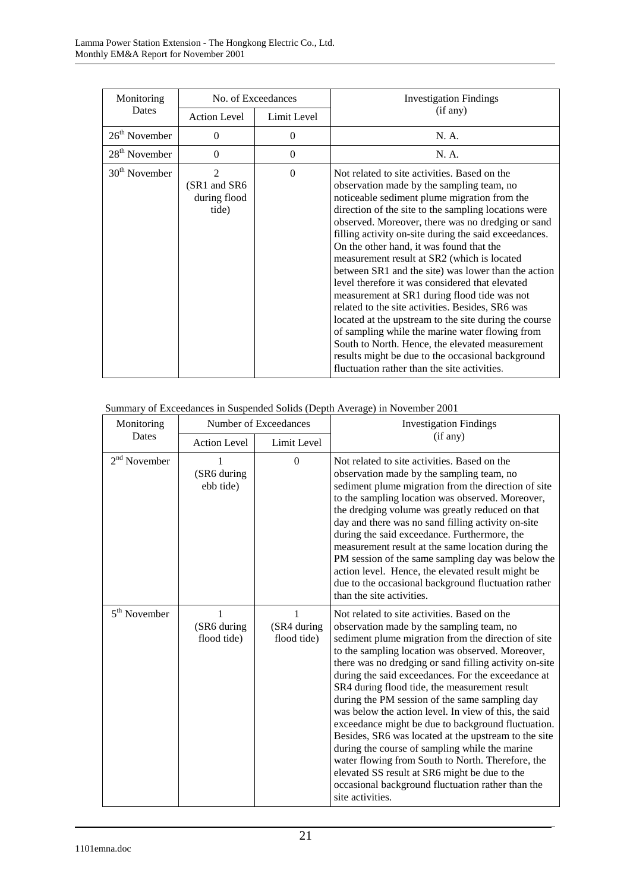| Monitoring                |                                                          | No. of Exceedances | <b>Investigation Findings</b>                                                                                                                                                                                                                                                                                                                                                                                                                                                                                                                                                                                                                                                                                                                                                                                                                                                                |
|---------------------------|----------------------------------------------------------|--------------------|----------------------------------------------------------------------------------------------------------------------------------------------------------------------------------------------------------------------------------------------------------------------------------------------------------------------------------------------------------------------------------------------------------------------------------------------------------------------------------------------------------------------------------------------------------------------------------------------------------------------------------------------------------------------------------------------------------------------------------------------------------------------------------------------------------------------------------------------------------------------------------------------|
| Dates                     | <b>Action Level</b>                                      | Limit Level        | (if any)                                                                                                                                                                                                                                                                                                                                                                                                                                                                                                                                                                                                                                                                                                                                                                                                                                                                                     |
| $26th$ November           | $\Omega$                                                 | $\overline{0}$     | N. A.                                                                                                                                                                                                                                                                                                                                                                                                                                                                                                                                                                                                                                                                                                                                                                                                                                                                                        |
| 28 <sup>th</sup> November | $\Omega$                                                 | $\theta$           | N. A.                                                                                                                                                                                                                                                                                                                                                                                                                                                                                                                                                                                                                                                                                                                                                                                                                                                                                        |
| $30th$ November           | $\mathfrak{D}$<br>(SR1 and SR6)<br>during flood<br>tide) | $\theta$           | Not related to site activities. Based on the<br>observation made by the sampling team, no<br>noticeable sediment plume migration from the<br>direction of the site to the sampling locations were<br>observed. Moreover, there was no dredging or sand<br>filling activity on-site during the said exceedances.<br>On the other hand, it was found that the<br>measurement result at SR2 (which is located<br>between SR1 and the site) was lower than the action<br>level therefore it was considered that elevated<br>measurement at SR1 during flood tide was not<br>related to the site activities. Besides, SR6 was<br>located at the upstream to the site during the course<br>of sampling while the marine water flowing from<br>South to North. Hence, the elevated measurement<br>results might be due to the occasional background<br>fluctuation rather than the site activities. |

#### Summary of Exceedances in Suspended Solids (Depth Average) in November 2001

| Monitoring     |                                 | Number of Exceedances      | <b>Investigation Findings</b>                                                                                                                                                                                                                                                                                                                                                                                                                                                                                                                                                                                                                                                                                                                                                                                                   |
|----------------|---------------------------------|----------------------------|---------------------------------------------------------------------------------------------------------------------------------------------------------------------------------------------------------------------------------------------------------------------------------------------------------------------------------------------------------------------------------------------------------------------------------------------------------------------------------------------------------------------------------------------------------------------------------------------------------------------------------------------------------------------------------------------------------------------------------------------------------------------------------------------------------------------------------|
| Dates          | <b>Action Level</b>             | Limit Level                | (if any)                                                                                                                                                                                                                                                                                                                                                                                                                                                                                                                                                                                                                                                                                                                                                                                                                        |
| $2nd$ November | (SR6 during<br>ebb tide)        | $\mathbf{0}$               | Not related to site activities. Based on the<br>observation made by the sampling team, no<br>sediment plume migration from the direction of site<br>to the sampling location was observed. Moreover,<br>the dredging volume was greatly reduced on that<br>day and there was no sand filling activity on-site<br>during the said exceedance. Furthermore, the<br>measurement result at the same location during the<br>PM session of the same sampling day was below the<br>action level. Hence, the elevated result might be<br>due to the occasional background fluctuation rather<br>than the site activities.                                                                                                                                                                                                               |
| $5th$ November | 1<br>(SR6 during<br>flood tide) | (SR4 during<br>flood tide) | Not related to site activities. Based on the<br>observation made by the sampling team, no<br>sediment plume migration from the direction of site<br>to the sampling location was observed. Moreover,<br>there was no dredging or sand filling activity on-site<br>during the said exceedances. For the exceedance at<br>SR4 during flood tide, the measurement result<br>during the PM session of the same sampling day<br>was below the action level. In view of this, the said<br>exceedance might be due to background fluctuation.<br>Besides, SR6 was located at the upstream to the site<br>during the course of sampling while the marine<br>water flowing from South to North. Therefore, the<br>elevated SS result at SR6 might be due to the<br>occasional background fluctuation rather than the<br>site activities. |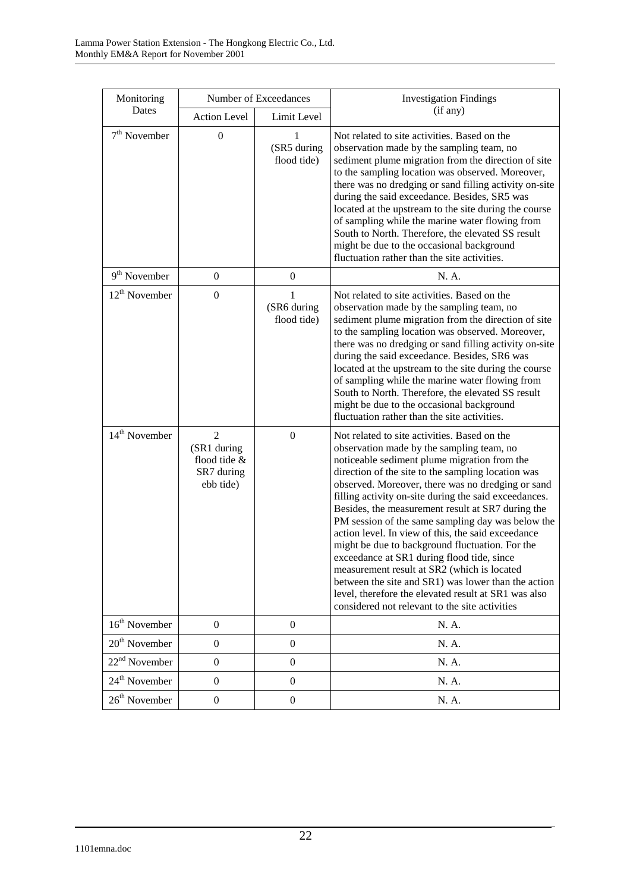| Monitoring<br>Dates       |                                                                          | Number of Exceedances           | <b>Investigation Findings</b><br>(if any)                                                                                                                                                                                                                                                                                                                                                                                                                                                                                                                                                                                                                                                                                                                                                      |
|---------------------------|--------------------------------------------------------------------------|---------------------------------|------------------------------------------------------------------------------------------------------------------------------------------------------------------------------------------------------------------------------------------------------------------------------------------------------------------------------------------------------------------------------------------------------------------------------------------------------------------------------------------------------------------------------------------------------------------------------------------------------------------------------------------------------------------------------------------------------------------------------------------------------------------------------------------------|
|                           | <b>Action Level</b>                                                      | Limit Level                     |                                                                                                                                                                                                                                                                                                                                                                                                                                                                                                                                                                                                                                                                                                                                                                                                |
| $7th$ November            | $\boldsymbol{0}$                                                         | 1<br>(SR5 during<br>flood tide) | Not related to site activities. Based on the<br>observation made by the sampling team, no<br>sediment plume migration from the direction of site<br>to the sampling location was observed. Moreover,<br>there was no dredging or sand filling activity on-site<br>during the said exceedance. Besides, SR5 was<br>located at the upstream to the site during the course<br>of sampling while the marine water flowing from<br>South to North. Therefore, the elevated SS result<br>might be due to the occasional background<br>fluctuation rather than the site activities.                                                                                                                                                                                                                   |
| $9th$ November            | $\boldsymbol{0}$                                                         | $\overline{0}$                  | N. A.                                                                                                                                                                                                                                                                                                                                                                                                                                                                                                                                                                                                                                                                                                                                                                                          |
| $12^{th}$ November        | $\boldsymbol{0}$                                                         | 1<br>(SR6 during<br>flood tide) | Not related to site activities. Based on the<br>observation made by the sampling team, no<br>sediment plume migration from the direction of site<br>to the sampling location was observed. Moreover,<br>there was no dredging or sand filling activity on-site<br>during the said exceedance. Besides, SR6 was<br>located at the upstream to the site during the course<br>of sampling while the marine water flowing from<br>South to North. Therefore, the elevated SS result<br>might be due to the occasional background<br>fluctuation rather than the site activities.                                                                                                                                                                                                                   |
| $14th$ November           | $\overline{2}$<br>(SR1 during<br>flood tide &<br>SR7 during<br>ebb tide) | $\overline{0}$                  | Not related to site activities. Based on the<br>observation made by the sampling team, no<br>noticeable sediment plume migration from the<br>direction of the site to the sampling location was<br>observed. Moreover, there was no dredging or sand<br>filling activity on-site during the said exceedances.<br>Besides, the measurement result at SR7 during the<br>PM session of the same sampling day was below the<br>action level. In view of this, the said exceedance<br>might be due to background fluctuation. For the<br>exceedance at SR1 during flood tide, since<br>measurement result at SR2 (which is located<br>between the site and SR1) was lower than the action<br>level, therefore the elevated result at SR1 was also<br>considered not relevant to the site activities |
| $16th$ November           | $\boldsymbol{0}$                                                         | $\boldsymbol{0}$                | N. A.                                                                                                                                                                                                                                                                                                                                                                                                                                                                                                                                                                                                                                                                                                                                                                                          |
| $20th$ November           | $\boldsymbol{0}$                                                         | $\boldsymbol{0}$                | N. A.                                                                                                                                                                                                                                                                                                                                                                                                                                                                                                                                                                                                                                                                                                                                                                                          |
| 22 <sup>nd</sup> November | $\boldsymbol{0}$                                                         | $\boldsymbol{0}$                | N. A.                                                                                                                                                                                                                                                                                                                                                                                                                                                                                                                                                                                                                                                                                                                                                                                          |
| 24 <sup>th</sup> November | $\boldsymbol{0}$                                                         | $\boldsymbol{0}$                | N. A.                                                                                                                                                                                                                                                                                                                                                                                                                                                                                                                                                                                                                                                                                                                                                                                          |
| 26 <sup>th</sup> November | $\boldsymbol{0}$                                                         | $\boldsymbol{0}$                | N. A.                                                                                                                                                                                                                                                                                                                                                                                                                                                                                                                                                                                                                                                                                                                                                                                          |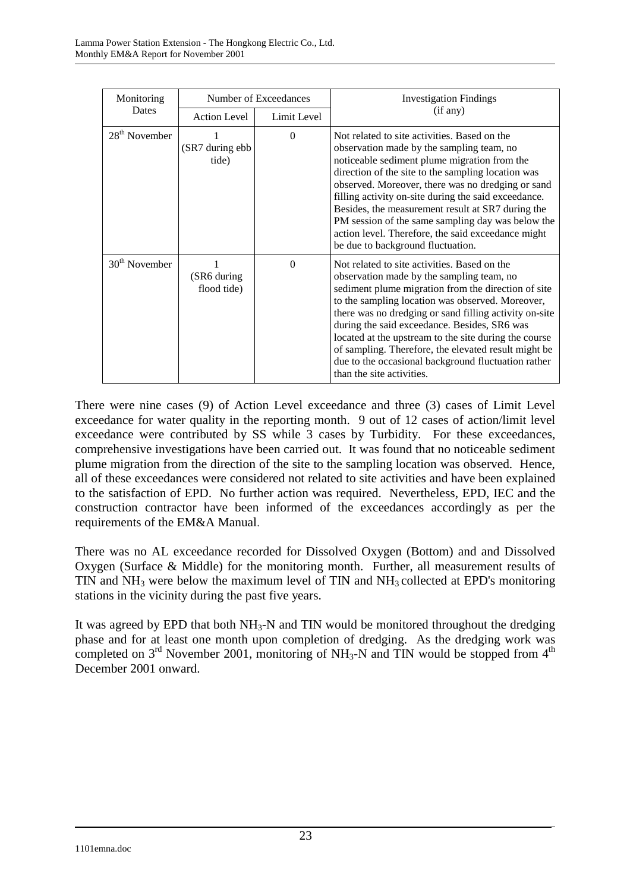| Monitoring      |                            | Number of Exceedances | <b>Investigation Findings</b>                                                                                                                                                                                                                                                                                                                                                                                                                                                                                       |
|-----------------|----------------------------|-----------------------|---------------------------------------------------------------------------------------------------------------------------------------------------------------------------------------------------------------------------------------------------------------------------------------------------------------------------------------------------------------------------------------------------------------------------------------------------------------------------------------------------------------------|
| Dates           | <b>Action Level</b>        | Limit Level           | (if any)                                                                                                                                                                                                                                                                                                                                                                                                                                                                                                            |
| $28th$ November | (SR7 during ebb<br>tide)   | $\Omega$              | Not related to site activities. Based on the<br>observation made by the sampling team, no<br>noticeable sediment plume migration from the<br>direction of the site to the sampling location was<br>observed. Moreover, there was no dredging or sand<br>filling activity on-site during the said exceedance.<br>Besides, the measurement result at SR7 during the<br>PM session of the same sampling day was below the<br>action level. Therefore, the said exceedance might<br>be due to background fluctuation.   |
| $30th$ November | (SR6 during<br>flood tide) | $\Omega$              | Not related to site activities. Based on the<br>observation made by the sampling team, no<br>sediment plume migration from the direction of site<br>to the sampling location was observed. Moreover,<br>there was no dredging or sand filling activity on-site<br>during the said exceedance. Besides, SR6 was<br>located at the upstream to the site during the course<br>of sampling. Therefore, the elevated result might be<br>due to the occasional background fluctuation rather<br>than the site activities. |

There were nine cases (9) of Action Level exceedance and three (3) cases of Limit Level exceedance for water quality in the reporting month. 9 out of 12 cases of action/limit level exceedance were contributed by SS while 3 cases by Turbidity. For these exceedances, comprehensive investigations have been carried out. It was found that no noticeable sediment plume migration from the direction of the site to the sampling location was observed. Hence, all of these exceedances were considered not related to site activities and have been explained to the satisfaction of EPD. No further action was required. Nevertheless, EPD, IEC and the construction contractor have been informed of the exceedances accordingly as per the requirements of the EM&A Manual.

There was no AL exceedance recorded for Dissolved Oxygen (Bottom) and and Dissolved Oxygen (Surface & Middle) for the monitoring month. Further, all measurement results of TIN and  $NH<sub>3</sub>$  were below the maximum level of TIN and  $NH<sub>3</sub>$  collected at EPD's monitoring stations in the vicinity during the past five years.

It was agreed by EPD that both  $NH<sub>3</sub>-N$  and TIN would be monitored throughout the dredging phase and for at least one month upon completion of dredging. As the dredging work was completed on  $3<sup>rd</sup>$  November 2001, monitoring of NH<sub>3</sub>-N and TIN would be stopped from 4<sup>th</sup> December 2001 onward.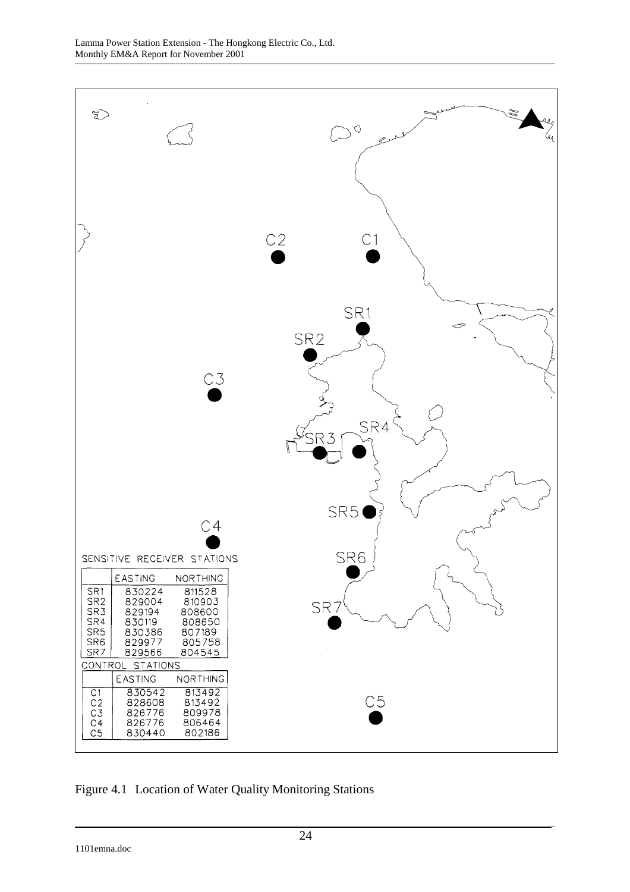

Figure 4.1 Location of Water Quality Monitoring Stations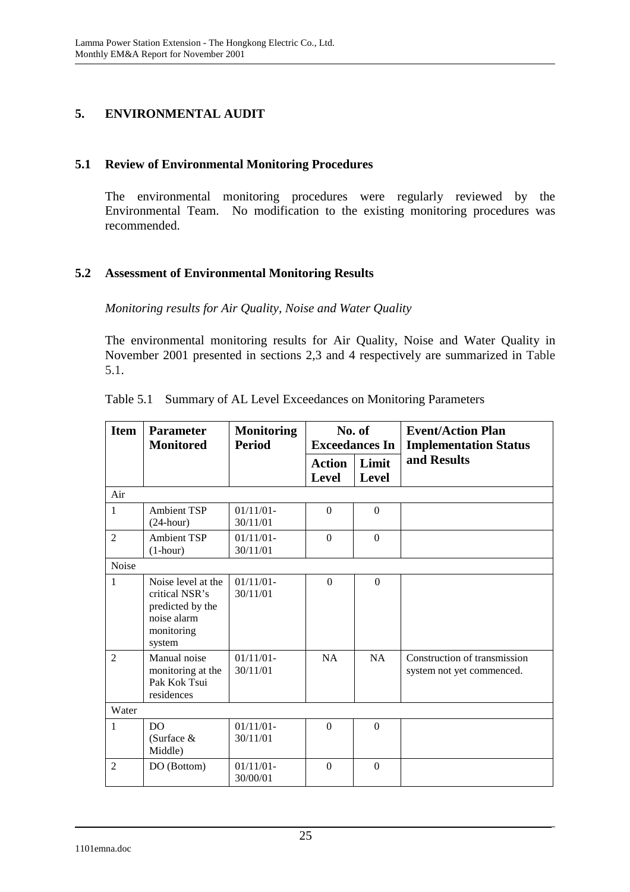# **5. ENVIRONMENTAL AUDIT**

### **5.1 Review of Environmental Monitoring Procedures**

The environmental monitoring procedures were regularly reviewed by the Environmental Team. No modification to the existing monitoring procedures was recommended.

## **5.2 Assessment of Environmental Monitoring Results**

*Monitoring results for Air Quality, Noise and Water Quality* 

The environmental monitoring results for Air Quality, Noise and Water Quality in November 2001 presented in sections 2,3 and 4 respectively are summarized in Table 5.1.

| <b>Item</b>    | <b>Parameter</b>                                                                                | <b>Monitoring</b>        | No. of        |                       | <b>Event/Action Plan</b>                                  |
|----------------|-------------------------------------------------------------------------------------------------|--------------------------|---------------|-----------------------|-----------------------------------------------------------|
|                | <b>Monitored</b>                                                                                | <b>Period</b>            |               | <b>Exceedances In</b> | <b>Implementation Status</b>                              |
|                |                                                                                                 |                          | <b>Action</b> | Limit                 | and Results                                               |
|                |                                                                                                 |                          | Level         | Level                 |                                                           |
| Air            |                                                                                                 |                          |               |                       |                                                           |
| $\mathbf{1}$   | <b>Ambient TSP</b><br>$(24$ -hour)                                                              | 01/11/01<br>30/11/01     | $\Omega$      | $\Omega$              |                                                           |
| $\overline{2}$ | <b>Ambient TSP</b><br>$(1-hour)$                                                                | $01/11/01$ -<br>30/11/01 | $\Omega$      | $\overline{0}$        |                                                           |
| Noise          |                                                                                                 |                          |               |                       |                                                           |
| $\mathbf{1}$   | Noise level at the<br>critical NSR's<br>predicted by the<br>noise alarm<br>monitoring<br>system | 01/11/01<br>30/11/01     | $\Omega$      | $\Omega$              |                                                           |
| $\mathfrak{D}$ | Manual noise<br>monitoring at the<br>Pak Kok Tsui<br>residences                                 | 01/11/01<br>30/11/01     | NA            | <b>NA</b>             | Construction of transmission<br>system not yet commenced. |
| Water          |                                                                                                 |                          |               |                       |                                                           |
| 1              | DO.<br>(Surface $&$<br>Middle)                                                                  | $01/11/01 -$<br>30/11/01 | $\Omega$      | $\Omega$              |                                                           |
| $\mathfrak{D}$ | DO (Bottom)                                                                                     | 01/11/01<br>30/00/01     | $\mathbf{0}$  | $\overline{0}$        |                                                           |

|  |  |  |  | Table 5.1 Summary of AL Level Exceedances on Monitoring Parameters |
|--|--|--|--|--------------------------------------------------------------------|
|--|--|--|--|--------------------------------------------------------------------|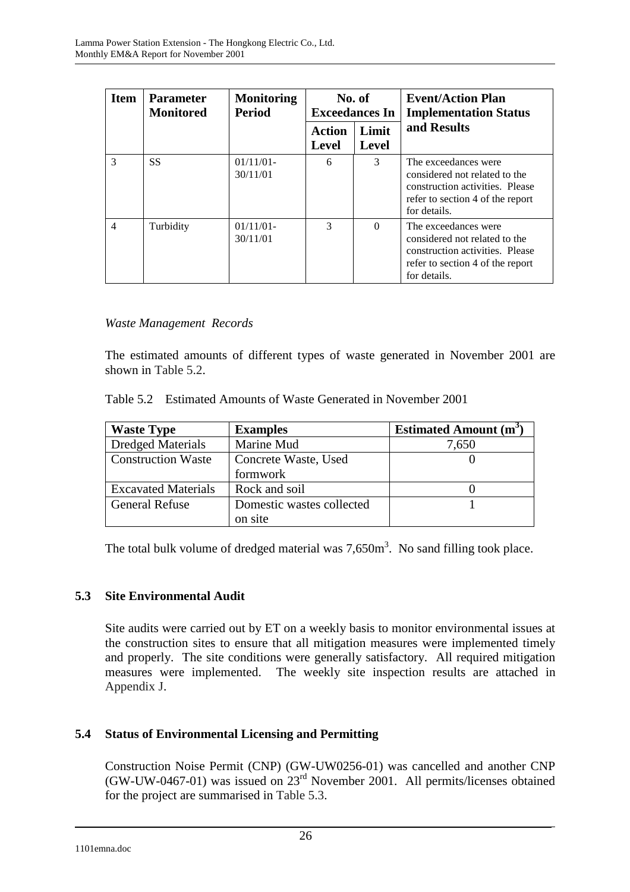| <b>Item</b>    | <b>Parameter</b><br><b>Monitored</b> | <b>Monitoring</b><br>Period |                        | No. of<br><b>Exceedances In</b> | <b>Event/Action Plan</b><br><b>Implementation Status</b>                                                                                     |
|----------------|--------------------------------------|-----------------------------|------------------------|---------------------------------|----------------------------------------------------------------------------------------------------------------------------------------------|
|                |                                      |                             | Action<br><b>Level</b> | Limit<br>Level                  | and Results                                                                                                                                  |
| 3              | <b>SS</b>                            | 01/11/01<br>30/11/01        | 6                      | 3                               | The exceedances were<br>considered not related to the<br>construction activities. Please<br>refer to section 4 of the report<br>for details. |
| $\overline{4}$ | Turbidity                            | 01/11/01<br>30/11/01        | 3                      | $\Omega$                        | The exceedances were<br>considered not related to the<br>construction activities. Please<br>refer to section 4 of the report<br>for details. |

### *Waste Management Records*

The estimated amounts of different types of waste generated in November 2001 are shown in Table 5.2.

| Table 5.2 Estimated Amounts of Waste Generated in November 2001 |  |  |
|-----------------------------------------------------------------|--|--|
|                                                                 |  |  |

| <b>Waste Type</b>          | <b>Examples</b>           | <b>Estimated Amount (m<sup>3</sup></b> |
|----------------------------|---------------------------|----------------------------------------|
| <b>Dredged Materials</b>   | Marine Mud                | 7,650                                  |
| <b>Construction Waste</b>  | Concrete Waste, Used      |                                        |
|                            | formwork                  |                                        |
| <b>Excavated Materials</b> | Rock and soil             |                                        |
| <b>General Refuse</b>      | Domestic wastes collected |                                        |
|                            | on site                   |                                        |

The total bulk volume of dredged material was  $7,650m^3$ . No sand filling took place.

### **5.3 Site Environmental Audit**

Site audits were carried out by ET on a weekly basis to monitor environmental issues at the construction sites to ensure that all mitigation measures were implemented timely and properly. The site conditions were generally satisfactory. All required mitigation measures were implemented. The weekly site inspection results are attached in Appendix J.

### **5.4 Status of Environmental Licensing and Permitting**

Construction Noise Permit (CNP) (GW-UW0256-01) was cancelled and another CNP (GW-UW-0467-01) was issued on  $23<sup>rd</sup>$  November 2001. All permits/licenses obtained for the project are summarised in Table 5.3.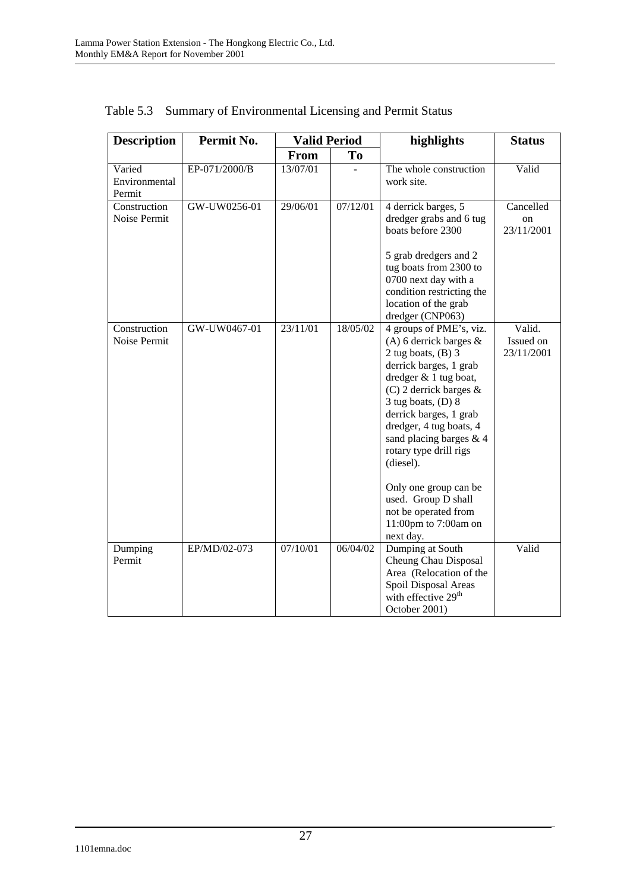| <b>Description</b>      | Permit No.    | <b>Valid Period</b> |          | highlights                                     | <b>Status</b>    |
|-------------------------|---------------|---------------------|----------|------------------------------------------------|------------------|
|                         |               | <b>From</b>         | To       |                                                |                  |
| Varied                  | EP-071/2000/B | 13/07/01            |          | The whole construction                         | Valid            |
| Environmental<br>Permit |               |                     |          | work site.                                     |                  |
| Construction            | GW-UW0256-01  | 29/06/01            | 07/12/01 |                                                | Cancelled        |
| Noise Permit            |               |                     |          | 4 derrick barges, 5<br>dredger grabs and 6 tug |                  |
|                         |               |                     |          | boats before 2300                              | on<br>23/11/2001 |
|                         |               |                     |          | 5 grab dredgers and 2                          |                  |
|                         |               |                     |          | tug boats from 2300 to                         |                  |
|                         |               |                     |          | 0700 next day with a                           |                  |
|                         |               |                     |          | condition restricting the                      |                  |
|                         |               |                     |          | location of the grab                           |                  |
| Construction            | GW-UW0467-01  | 23/11/01            | 18/05/02 | dredger (CNP063)<br>4 groups of PME's, viz.    | Valid.           |
| Noise Permit            |               |                     |          | (A) 6 derrick barges $\&$                      | Issued on        |
|                         |               |                     |          | 2 tug boats, $(B)$ 3                           | 23/11/2001       |
|                         |               |                     |          | derrick barges, 1 grab                         |                  |
|                         |               |                     |          | dredger $& 1$ tug boat,                        |                  |
|                         |               |                     |          | (C) 2 derrick barges $\&$                      |                  |
|                         |               |                     |          | $3$ tug boats, (D) $8$                         |                  |
|                         |               |                     |          | derrick barges, 1 grab                         |                  |
|                         |               |                     |          | dredger, 4 tug boats, 4                        |                  |
|                         |               |                     |          | sand placing barges & 4                        |                  |
|                         |               |                     |          | rotary type drill rigs<br>(diesel).            |                  |
|                         |               |                     |          |                                                |                  |
|                         |               |                     |          | Only one group can be                          |                  |
|                         |               |                     |          | used. Group D shall                            |                  |
|                         |               |                     |          | not be operated from                           |                  |
|                         |               |                     |          | 11:00pm to 7:00am on<br>next day.              |                  |
| Dumping                 | EP/MD/02-073  | 07/10/01            | 06/04/02 | Dumping at South                               | Valid            |
| Permit                  |               |                     |          | Cheung Chau Disposal                           |                  |
|                         |               |                     |          | Area (Relocation of the                        |                  |
|                         |               |                     |          | Spoil Disposal Areas                           |                  |
|                         |               |                     |          | with effective 29 <sup>th</sup>                |                  |
|                         |               |                     |          | October 2001)                                  |                  |

Table 5.3 Summary of Environmental Licensing and Permit Status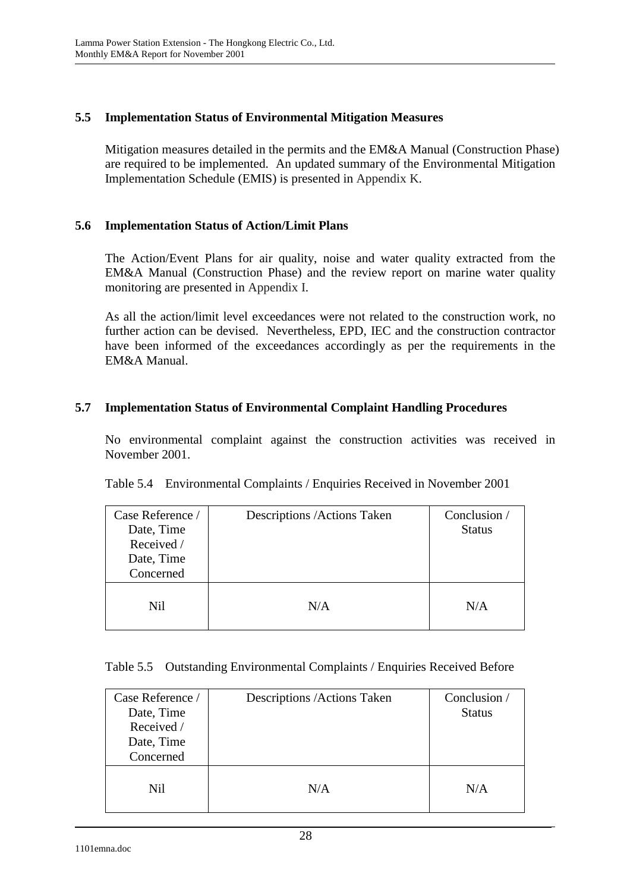## **5.5 Implementation Status of Environmental Mitigation Measures**

Mitigation measures detailed in the permits and the EM&A Manual (Construction Phase) are required to be implemented. An updated summary of the Environmental Mitigation Implementation Schedule (EMIS) is presented in Appendix K.

### **5.6 Implementation Status of Action/Limit Plans**

The Action/Event Plans for air quality, noise and water quality extracted from the EM&A Manual (Construction Phase) and the review report on marine water quality monitoring are presented in Appendix I.

As all the action/limit level exceedances were not related to the construction work, no further action can be devised. Nevertheless, EPD, IEC and the construction contractor have been informed of the exceedances accordingly as per the requirements in the EM&A Manual.

### **5.7 Implementation Status of Environmental Complaint Handling Procedures**

No environmental complaint against the construction activities was received in November 2001.

| Case Reference /<br>Date, Time<br>Received /<br>Date, Time<br>Concerned | Descriptions / Actions Taken | Conclusion /<br><b>Status</b> |
|-------------------------------------------------------------------------|------------------------------|-------------------------------|
| Nil                                                                     | N/A                          | N/A                           |

|  |  | Table 5.4 Environmental Complaints / Enquiries Received in November 2001 |
|--|--|--------------------------------------------------------------------------|
|  |  |                                                                          |

|  | Table 5.5 Outstanding Environmental Complaints / Enquiries Received Before |  |  |  |
|--|----------------------------------------------------------------------------|--|--|--|
|--|----------------------------------------------------------------------------|--|--|--|

| Case Reference /<br>Date, Time<br>Received /<br>Date, Time<br>Concerned | Descriptions / Actions Taken | Conclusion /<br><b>Status</b> |
|-------------------------------------------------------------------------|------------------------------|-------------------------------|
| Nil                                                                     | N/A                          | N/A                           |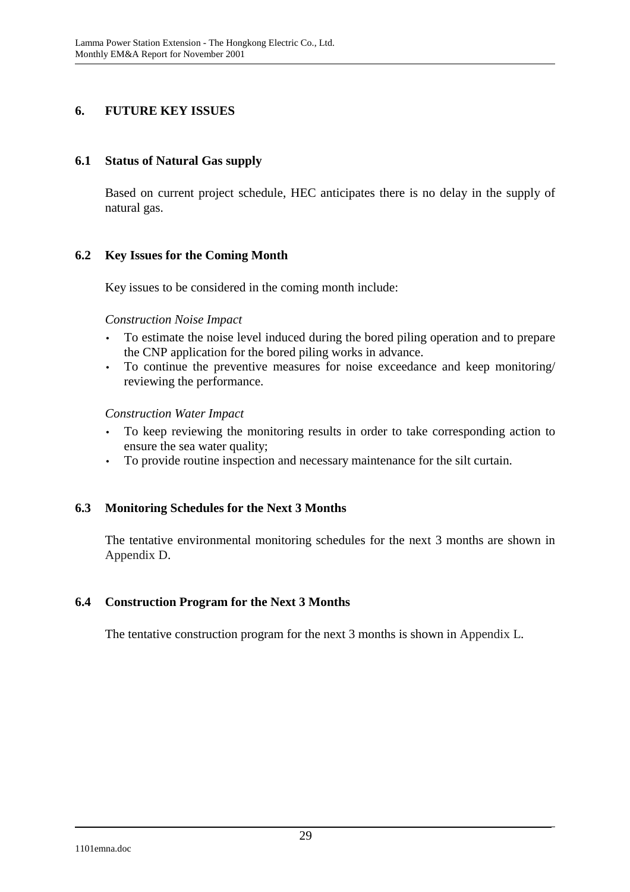## **6. FUTURE KEY ISSUES**

### **6.1 Status of Natural Gas supply**

Based on current project schedule, HEC anticipates there is no delay in the supply of natural gas.

### **6.2 Key Issues for the Coming Month**

Key issues to be considered in the coming month include:

#### *Construction Noise Impact*

- To estimate the noise level induced during the bored piling operation and to prepare the CNP application for the bored piling works in advance.
- To continue the preventive measures for noise exceedance and keep monitoring/ reviewing the performance.

#### *Construction Water Impact*

- To keep reviewing the monitoring results in order to take corresponding action to ensure the sea water quality;
- To provide routine inspection and necessary maintenance for the silt curtain.

### **6.3 Monitoring Schedules for the Next 3 Months**

The tentative environmental monitoring schedules for the next 3 months are shown in Appendix D.

#### **6.4 Construction Program for the Next 3 Months**

The tentative construction program for the next 3 months is shown in Appendix L.